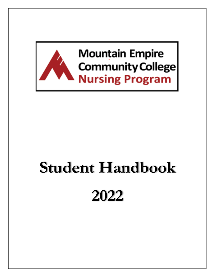<span id="page-0-0"></span>

# **Student Handbook 2022**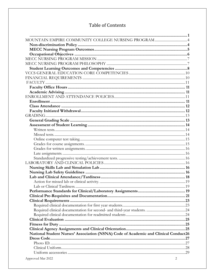# **Table of Contents**

 $\overline{a}$ 

| National Student Nurses' Association (NSNA) Code of Academic and Clinical Conduct26 |   |
|-------------------------------------------------------------------------------------|---|
|                                                                                     |   |
|                                                                                     |   |
|                                                                                     |   |
|                                                                                     |   |
| Approved Mar 2022                                                                   | 2 |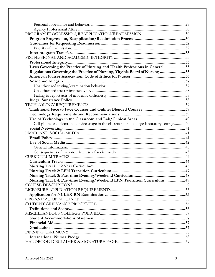| Laws Governing the Practice of Nursing and Health Professions in General 33               |  |
|-------------------------------------------------------------------------------------------|--|
| Regulations Governing the Practice of Nursing, Virginia Board of Nursing 35               |  |
|                                                                                           |  |
|                                                                                           |  |
|                                                                                           |  |
|                                                                                           |  |
|                                                                                           |  |
|                                                                                           |  |
|                                                                                           |  |
|                                                                                           |  |
|                                                                                           |  |
|                                                                                           |  |
| Cell phone and electronic device usage in the classroom and college laboratory setting 40 |  |
|                                                                                           |  |
|                                                                                           |  |
|                                                                                           |  |
|                                                                                           |  |
|                                                                                           |  |
|                                                                                           |  |
|                                                                                           |  |
|                                                                                           |  |
|                                                                                           |  |
|                                                                                           |  |
|                                                                                           |  |
| Nursing Track 4: Part-time Evening/Weekend LPN Transition Curriculum49                    |  |
|                                                                                           |  |
|                                                                                           |  |
|                                                                                           |  |
|                                                                                           |  |
|                                                                                           |  |
|                                                                                           |  |
|                                                                                           |  |
|                                                                                           |  |
|                                                                                           |  |
|                                                                                           |  |
|                                                                                           |  |
|                                                                                           |  |
|                                                                                           |  |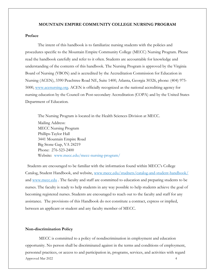#### **MOUNTAIN EMPIRE COMMUNITY COLLEGE NURSING PROGRAM**

### <span id="page-3-0"></span>**Preface**

The intent of this handbook is to familiarize nursing students with the policies and procedures specific to the Mountain Empire Community College (MECC) Nursing Program. Please read the handbook carefully and refer to it often. Students are accountable for knowledge and understanding of the contents of this handbook. The Nursing Program is approved by the Virginia Board of Nursing (VBON) and is accredited by the Accreditation Commission for Education in Nursing (ACEN), 3390 Peachtree Road NE, Suite 1400, Atlanta, Georgia 30326, phone: (404) 975- 5000, [www.acenursing.org.](http://www.acenursing.org/) ACEN is officially recognized as the national accrediting agency for nursing education by the Council on Post-secondary Accreditation (COPA) and by the United States Department of Education.

The Nursing Program is located in the Health Sciences Division at MECC. Mailing Address: MECC Nursing Program Phillips-Taylor Hall 3441 Mountain Empire Road Big Stone Gap, VA 24219 Phone: 276-523-2400 Website: www.mecc.edu/mecc-nursing-program/

 Students are encouraged to be familiar with the information found within MECC's College Catalog, Student Handbook, and website, [www.mecc.edu/studnets/catalog-and-student-handbook/](http://www.mecc.edu/studnets/catalog-and-student-handbook/) and [www.mecc.edu](http://www.mecc.edu/) . The faculty and staff are committed to education and preparing students to be nurses. The faculty is ready to help students in any way possible to help students achieve the goal of becoming registered nurses. Students are encouraged to reach out to the faculty and staff for any assistance. The provisions of this Handbook do not constitute a contract, express or implied, between an applicant or student and any faculty member of MECC.

#### <span id="page-3-1"></span>**Non-discrimination Policy**

Approved Mar 2022 4 MECC is committed to a policy of nondiscrimination in employment and education opportunity. No person shall be discriminated against in the terms and conditions of employment, personnel practices, or access to and participation in, programs, services, and activities with regard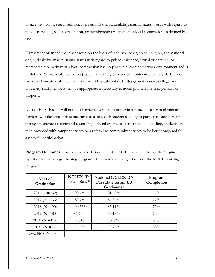to race, sex, color, creed, religion, age, national origin, disability, marital status, status with regard to public assistance, sexual orientation, or membership or activity in a local commission as defined by law.

Harassment of an individual or group on the basis of race, sex, color, creed, religion, age, national origin, disability, marital status, status with regard to public assistance, sexual orientation, or membership or activity in a local commission has no place in a learning or work environment and is prohibited. Sexual violence has no place in a learning or work environment. Further, MECC shall work to eliminate violence in all its forms. Physical contact by designated system, college, and university staff members may be appropriate if necessary to avoid physical harm to persons or property.

Lack of English skills will not be a barrier to admission or participation. In order to eliminate barriers, we take appropriate measures to assess each student's ability to participate and benefit through placement testing and counseling. Based on the assessment and counseling, students are then provided with campus services or a referral to community services to be better prepared for successful participation.

<span id="page-4-0"></span>**Program Outcomes** (results for years 2016-2020 reflect MECC as a member of the Virginia Appalachian Tricollege Nursing Program. 2021 were the first graduates of the MECC Nursing Program)

| Year of<br>Graduation | <b>NCLEX-RN</b><br>Pass Rate* | <b>National NCLEX-RN</b><br>Pass Rate for All US<br>Graduates* | Program<br>Completion |
|-----------------------|-------------------------------|----------------------------------------------------------------|-----------------------|
| $2016$ (N=132)        | $90.7\%$                      | 81.68%                                                         | 71%                   |
| $2017(N=136)$         | 89.7%                         | 84.24%                                                         | 72%                   |
| 2018 ( $N=190$ )      | $90.53\%$                     | 85.11%                                                         | $77\%$                |
| 2019 ( $N=180$ )      | 87.7%                         | 88.18%                                                         | 73%                   |
| 2020 ( $N = 197$ )    | 72.54%                        | $82.5\%$                                                       | 81%                   |
| 2021 ( $N = 57$ )     | 73.68%                        | 78.78%                                                         | 88%                   |
| $*$ www.NCSBN.org     |                               |                                                                |                       |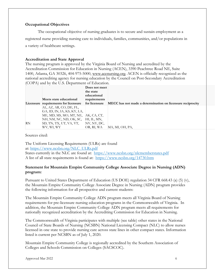# <span id="page-5-0"></span>**Occupational Objectives**

The occupational objective of nursing graduates is to secure and sustain employment as a registered nurse providing nursing care to individuals, families, communities, and/or populations in a variety of healthcare settings.

# **Accreditation and State Approval**

The nursing program is approved by the Virginia Board of Nursing and accredited by the Accreditation Commission for Education in Nursing (ACEN), 3390 Peachtree Road NE, Suite 1400, Atlanta, GA 30326, 404-975-5000, [www.acenursing.org.](http://www.acenursing.org/) ACEN is officially recognized as the national accrediting agency for nursing education by the Council on Post-Secondary Accreditation (COPA) and by the U.S. Department of Education.

|    |                                      | Does not meet<br>the state<br>educational |                                                            |
|----|--------------------------------------|-------------------------------------------|------------------------------------------------------------|
|    | Meets state educational              | requirements                              |                                                            |
|    | Licensure requirements for licensure | for licensure                             | MECC has not made a determination on licensure reciprocity |
|    | AL, AZ, AR, CO, DE, FL,              |                                           |                                                            |
|    | GA, ID, IN, IA, KS, KY, LA,          |                                           |                                                            |
|    | ME, MD, MS, MO, MT, NE, AK, CA, CT,  |                                           |                                                            |
|    | NH, NM, NC, ND, OK, SC,              | HI, IL, MN,                               |                                                            |
| RN | SD, TN, TX, UT, VA, VT,              | NV, NY, DC,                               |                                                            |
|    | WV, WI, WY                           | OR, RI, WA                                | MA, MI, OH, PA,                                            |

Sources cited:

The Uniform Licensing Requirements (ULRs) are found at: [https://www.ncsbn.org/NLC\\_ULRs.pdf](https://www.ncsbn.org/NLC_ULRs.pdf) States currently in the NLC are found at: <https://www.ncsbn.org/nlcmemberstates.pdf> A list of all state requirements is found at: <https://www.ncsbn.org/14730.htm>

# **Statement for Mountain Empire Community College Associate Degree in Nursing (ADN) program:**

Pursuant to United States Department of Education (US DOE) regulation 34 CFR 668.43 (a) (5) (v), the Mountain Empire Community College Associate Degree in Nursing (ADN) program provides the following information for all prospective and current students:

The Mountain Empire Community College ADN program meets all Virginia Board of Nursing requirements for pre-licensure nursing education programs in the Commonwealth of Virginia. In addition, the Mountain Empire Community College ADN program meets all requirements for nationally recognized accreditation by the Accrediting Commission for Education in Nursing.

The Commonwealth of Virginia participates with multiple (see table) other states in the National Council of State Boards of Nursing (NCSBN) National Licensing Compact (NLC) to allow nurses licensed in one state to provide nursing care across state lines in other compact states. Information listed is current per NCSBN as of July 1, 2020.

Mountain Empire Community College is regionally accredited by the Southern Association of Colleges and Schools Commission on Colleges (SACSCOC).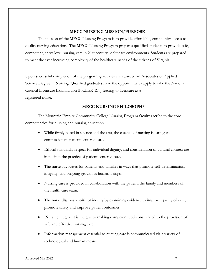### **MECC NURSING MISSION/PURPOSE**

<span id="page-6-0"></span>The mission of the MECC Nursing Program is to provide affordable, community access to quality nursing education. The MECC Nursing Program prepares qualified students to provide safe, competent, entry-level nursing care in 21st century healthcare environments. Students are prepared to meet the ever-increasing complexity of the healthcare needs of the citizens of Virginia.

Upon successful completion of the program, graduates are awarded an Associates of Applied Science Degree in Nursing. Qualified graduates have the opportunity to apply to take the National Council Licensure Examination (NCLEX-RN) leading to licensure as a registered nurse.

## **MECC NURSING PHILOSOPHY**

<span id="page-6-1"></span>The Mountain Empire Community College Nursing Program faculty ascribe to the core competencies for nursing and nursing education.

- While firmly based in science and the arts, the essence of nursing is caring and compassionate patient centered care.
- Ethical standards, respect for individual dignity, and consideration of cultural context are implicit in the practice of patient centered care.
- The nurse advocates for patients and families in ways that promote self-determination, integrity, and ongoing growth as human beings.
- Nursing care is provided in collaboration with the patient, the family and members of the health care team.
- The nurse displays a spirit of inquiry by examining evidence to improve quality of care, promote safety and improve patient outcomes.
- Nursing judgment is integral to making competent decisions related to the provision of safe and effective nursing care.
- Information management essential to nursing care is communicated via a variety of technological and human means.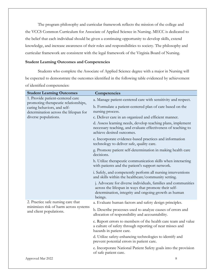The program philosophy and curricular framework reflects the mission of the college and the VCCS Common Curriculum for Associate of Applied Science in Nursing. MECC is dedicated to the belief that each individual should be given a continuing opportunity to develop skills, extend knowledge, and increase awareness of their roles and responsibilities to society. The philosophy and curricular framework are consistent with the legal framework of the Virginia Board of Nursing.

# <span id="page-7-0"></span>**Student Learning Outcomes and Competencies**

Students who complete the Associate of Applied Science degree with a major in Nursing will be expected to demonstrate the outcomes identified in the following table evidenced by achievement of identified competencies:

| <b>Student Learning Outcomes</b>                                         | Competencies                                                                                                                                                                             |
|--------------------------------------------------------------------------|------------------------------------------------------------------------------------------------------------------------------------------------------------------------------------------|
| 1. Provide patient-centered care<br>promoting therapeutic relationships, | a. Manage patient-centered care with sensitivity and respect.                                                                                                                            |
| caring behaviors, and self-                                              | b. Formulate a patient-centered plan of care based on the                                                                                                                                |
| determination across the lifespan for                                    | nursing process.                                                                                                                                                                         |
| diverse populations.                                                     | c. Deliver care in an organized and efficient manner.                                                                                                                                    |
|                                                                          | d. Assess learning needs, develop teaching plans, implement<br>necessary teaching, and evaluate effectiveness of teaching to<br>achieve desired outcomes.                                |
|                                                                          | e. Incorporate evidence-based practices and information<br>technology to deliver safe, quality care.                                                                                     |
|                                                                          | g. Promote patient self-determination in making health care<br>decisions.                                                                                                                |
|                                                                          | h. Utilize therapeutic communication skills when interacting<br>with patients and the patient's support network.                                                                         |
|                                                                          | i. Safely, and competently perform all nursing interventions<br>and skills within the healthcare/community setting.                                                                      |
|                                                                          | j. Advocate for diverse individuals, families and communities<br>across the lifespan in ways that promote their self-<br>determination, integrity and ongoing growth as human<br>beings. |
| 2. Practice safe nursing care that                                       | a. Evaluate human factors and safety design principles.                                                                                                                                  |
| minimizes risk of harm across systems<br>and client populations.         | b. Describe processes used to analyze causes of errors and<br>allocation of responsibility and accountability.                                                                           |
|                                                                          | c. Report errors to members of the health care team and value<br>a culture of safety through reporting of near misses and<br>hazards in patient care.                                    |
|                                                                          | d. Utilize safety-enhancing technologies to identify and<br>prevent potential errors in patient care.                                                                                    |
|                                                                          | e. Incorporate National Patient Safety goals into the provision<br>of safe patient care.                                                                                                 |
| Approved Mar 2022                                                        | 8                                                                                                                                                                                        |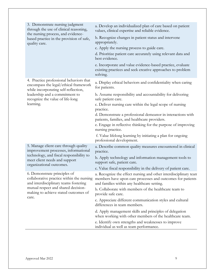| 3. Demonstrate nursing judgment<br>through the use of clinical reasoning,<br>the nursing process, and evidence-                                                                                            | a. Develop an individualized plan of care based on patient<br>values, clinical expertise and reliable evidence.                                                               |
|------------------------------------------------------------------------------------------------------------------------------------------------------------------------------------------------------------|-------------------------------------------------------------------------------------------------------------------------------------------------------------------------------|
| based practice in the provision of safe,<br>quality care.                                                                                                                                                  | b. Recognize changes in patient status and intervene<br>appropriately.                                                                                                        |
|                                                                                                                                                                                                            | c. Apply the nursing process to guide care.                                                                                                                                   |
|                                                                                                                                                                                                            | d. Prioritize patient care accurately using relevant data and<br>best evidence.                                                                                               |
|                                                                                                                                                                                                            | e. Incorporate and value evidence-based practice, evaluate<br>existing practices and seek creative approaches to problem<br>solving.                                          |
| 4. Practice professional behaviors that<br>encompass the legal/ethical framework<br>while incorporating self-reflection,                                                                                   | a. Display ethical behaviors and confidentiality when caring<br>for patients.                                                                                                 |
| leadership and a commitment to<br>recognize the value of life-long                                                                                                                                         | b. Assume responsibility and accountability for delivering<br>safe patient care.                                                                                              |
| learning.                                                                                                                                                                                                  | c. Deliver nursing care within the legal scope of nursing<br>practice.                                                                                                        |
|                                                                                                                                                                                                            | d. Demonstrate a professional demeanor in interactions with<br>patients, families, and healthcare providers.                                                                  |
|                                                                                                                                                                                                            | e. Engage in reflective thinking for the purpose of improving<br>nursing practice.                                                                                            |
|                                                                                                                                                                                                            | f. Value lifelong learning by initiating a plan for ongoing<br>professional development.                                                                                      |
| 5. Manage client care through quality<br>improvement processes, informational                                                                                                                              | a. Describe common quality measures encountered in clinical<br>practice.                                                                                                      |
| technology, and fiscal responsibility to<br>meet client needs and support                                                                                                                                  | b. Apply technology and information management tools to<br>support safe, patient care.                                                                                        |
| organizational outcomes.                                                                                                                                                                                   | c. Value fiscal responsibility in the delivery of patient care.                                                                                                               |
| 6. Demonstrate principles of<br>collaborative practice within the nursing<br>and interdisciplinary teams fostering<br>mutual respect and shared decision-<br>making to achieve stated outcomes of<br>care. | a. Recognize the effect nursing and other interdisciplinary team<br>members have upon care processes and outcomes for patients<br>and families within any healthcare setting. |
|                                                                                                                                                                                                            | b. Collaborate with members of the healthcare team to<br>provide safe care.                                                                                                   |
|                                                                                                                                                                                                            | c. Appreciate different communication styles and cultural<br>differences in team members.                                                                                     |
|                                                                                                                                                                                                            | d. Apply management skills and principles of delegation<br>when working with other members of the healthcare team.                                                            |
|                                                                                                                                                                                                            | e. Identify own strengths and weaknesses to improve<br>individual as well as team performance.                                                                                |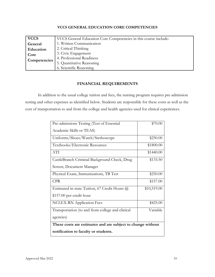# **VCCS GENERAL EDUCATION CORE COMPETENCIES**

<span id="page-9-0"></span>

| <b>VCCS</b>         | VCCS General Education Core Competencies in this course include: |
|---------------------|------------------------------------------------------------------|
| General             | 1. Written Communication                                         |
| <b>Education</b>    | 2. Critical Thinking                                             |
| Core                | 3. Civic Engagement                                              |
| <b>Competencies</b> | 4. Professional Readiness                                        |
|                     | 5. Quantitative Reasoning                                        |
|                     | 6. Scientific Reasoning                                          |

# **FINANCIAL REQUIREMENTS**

<span id="page-9-1"></span>In addition to the usual college tuition and fees, the nursing program requires pre-admission testing and other expenses as identified below. Students are responsible for these costs as well as the cost of transportation to and from the college and health agencies used for clinical experiences.

| Pre-admissions Testing (Test of Essential                   | \$70.00     |  |
|-------------------------------------------------------------|-------------|--|
| Academic Skills or TEAS)                                    |             |  |
| Uniforms/Shoes/Watch/Stethoscope                            | \$250.00    |  |
| Textbooks/Electronic Resources                              | \$1800.00   |  |
| <b>ATI</b>                                                  | \$1440.00   |  |
| CastleBranch Criminal Background Check, Drug                | \$133.50    |  |
| Screen, Document Manager                                    |             |  |
| Physical Exam, Immunizations, TB Test                       | \$250.00    |  |
| <b>CPR</b>                                                  | \$157.00    |  |
| Estimated in-state Tuition, 67 Credit Hours @               | \$10,519.00 |  |
| $$157.00$ per credit hour                                   |             |  |
| <b>NCLEX-RN</b> Application Fees                            | \$425.00    |  |
| Transportation (to and from college and clinical            | Variable    |  |
| agencies)                                                   |             |  |
| These costs are estimates and are subject to change without |             |  |
| notification to faculty or students.                        |             |  |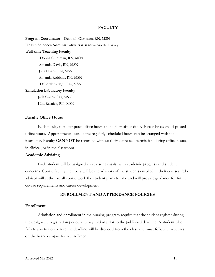#### **FACULTY**

<span id="page-10-0"></span>**Program Coordinator** – Deborah Clarkston, RN, MSN **Health Sciences Administrative Assistant** – Arietta Harvey **Full-time Teaching Faculty**  Donna Cluesman, RN, MSN Amanda Davis, RN, MSN Jada Oakes, RN, MSN Amanda Robbins, RN, MSN Deborah Wright, RN, MSN **Simulation Laboratory Faculty** Jada Oakes, RN, MSN Kim Rasnick, RN, MSN

#### <span id="page-10-1"></span>**Faculty Office Hours**

Each faculty member posts office hours on his/her office door. Please be aware of posted office hours. Appointments outside the regularly scheduled hours can be arranged with the instructor. Faculty **CANNOT** be recorded without their expressed permission during office hours, in clinical, or in the classroom.

#### <span id="page-10-2"></span>**Academic Advising**

Each student will be assigned an advisor to assist with academic progress and student concerns. Course faculty members will be the advisors of the students enrolled in their courses. The advisor will authorize all course work the student plans to take and will provide guidance for future course requirements and career development.

# **ENROLLMENT AND ATTENDANCE POLICIES**

### <span id="page-10-4"></span><span id="page-10-3"></span>**Enrollment**

Admission and enrollment in the nursing program require that the student register during the designated registration period and pay tuition prior to the published deadline. A student who fails to pay tuition before the deadline will be dropped from the class and must follow procedures on the home campus for reenrollment.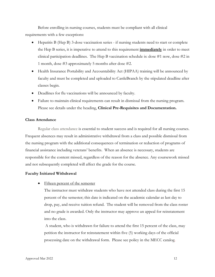Before enrolling in nursing courses, students must be compliant with all clinical requirements with a few exceptions:

- Hepatitis B (Hep B) 3-dose vaccination series if nursing students need to start or complete the Hep B series, it is imperative to attend to this requirement **immediately** in order to meet clinical participation deadlines. The Hep B vaccination schedule is: dose #1 now, dose #2 in 1 month, dose #3 approximately 5 months after dose #2.
- Health Insurance Portability and Accountability Act (HIPAA) training will be announced by faculty and must be completed and uploaded to CastleBranch by the stipulated deadline after classes begin.
- Deadlines for flu vaccinations will be announced by faculty.
- Failure to maintain clinical requirements can result in dismissal from the nursing program. Please see details under the heading, **Clinical Pre-Requisites and Documentation.**

#### <span id="page-11-0"></span>**Class Attendance**

Regular class attendance is essential to student success and is required for all nursing courses. Frequent absences may result in administrative withdrawal from a class and possible dismissal from the nursing program with the additional consequences of termination or reduction of programs of financial assistance including veterans' benefits. When an absence is necessary, students are responsible for the content missed, regardless of the reason for the absence. Any coursework missed and not subsequently completed will affect the grade for the course.

#### <span id="page-11-1"></span>**Faculty Initiated Withdrawal**

• Fifteen percent of the semester

The instructor must withdraw students who have not attended class during the first 15 percent of the semester; this date is indicated on the academic calendar as last day to drop, pay, and receive tuition refund. The student will be removed from the class roster and no grade is awarded. Only the instructor may approve an appeal for reinstatement into the class.

A student, who is withdrawn for failure to attend the first 15 percent of the class, may petition the instructor for reinstatement within five (5) working days of the official processing date on the withdrawal form. Please see policy in the MECC catalog.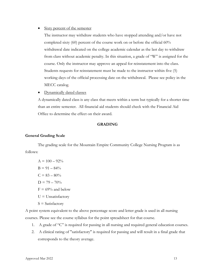#### • Sixty percent of the semester

The instructor may withdraw students who have stopped attending and/or have not completed sixty (60) percent of the course work on or before the official 60% withdrawal date indicated on the college academic calendar as the last day to withdraw from class without academic penalty. In this situation, a grade of "W" is assigned for the course. Only the instructor may approve an appeal for reinstatement into the class. Students requests for reinstatement must be made to the instructor within five (5) working days of the official processing date on the withdrawal. Please see policy in the MECC catalog.

• Dynamically dated classes

A dynamically dated class is any class that meets within a term but typically for a shorter time than an entire semester. All financial aid students should check with the Financial Aid Office to determine the effect on their award.

#### **GRADING**

#### <span id="page-12-1"></span><span id="page-12-0"></span>**General Grading Scale**

The grading scale for the Mountain Empire Community College Nursing Program is as follows:

 $A = 100 - 92%$  $B = 91 - 84\%$  $C = 83 - 80\%$  $D = 79 - 70%$  $F = 69\%$  and below  $U =$  Unsatisfactory  $S = Satisfactory$ 

A point system equivalent to the above percentage score and letter grade is used in all nursing courses. Please see the course syllabus for the point spreadsheet for that course.

- 1. A grade of "C" is required for passing in all nursing and required general education courses.
- 2. A clinical rating of "satisfactory" is required for passing and will result in a final grade that corresponds to the theory average.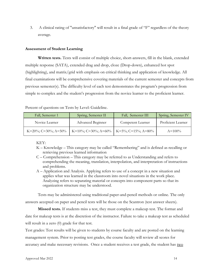3. A clinical rating of "unsatisfactory" will result in a final grade of "F" regardless of the theory average.

#### <span id="page-13-0"></span>**Assessment of Student Learning**

<span id="page-13-1"></span>**Written tests.** Tests will consist of multiple choice, short-answers, fill in the blank, extended multiple response (SATA), extended drag and drop, cloze (Drop-down), enhanced hot spot (highlighting), and matrix/grid with emphasis on critical thinking and application of knowledge. All final examinations will be comprehensive covering materials of the current semester and concepts from previous semester(s). The difficulty level of each test demonstrates the program's progression from simple to complex and the student's progression from the novice learner to the proficient learner.

## Percent of questions on Tests by Level: Guideline.

| Fall, Semester 1    | Spring, Semester II                      | Fall, Semester III | Spring, Semester IV |
|---------------------|------------------------------------------|--------------------|---------------------|
| Novice Learner      | Advanced Beginner                        | Competent Learner  | Proficient Learner  |
| K=20%; C=30%; A=50% | K=10%; C=30%; A=60%   K=5%; C=15%; A=80% |                    | $A = 100\%$         |

KEY:

- K Knowledge This category may be called "Remembering" and is defined as recalling or retrieving previous learned information
- C Comprehension This category may be referred to as Understanding and refers to comprehending the meaning, translation, interpolation, and interpretation of instructions and problems.
- A Application and Analysis. Applying refers to use of a concept in a new situation and applies what was learned in the classroom into novel situations in the work place. Analyzing refers to separating material or concepts into component parts so that its organization structure may be understood.

Tests may be administered using traditional paper-and-pencil methods or online. The only answers accepted on paper and pencil tests will be those on the Scantron (test answer sheets).

<span id="page-13-2"></span>**Missed tests.** If students miss a test, they must complete a makeup test. The format and date for makeup tests is at the discretion of the instructor. Failure to take a makeup test as scheduled will result in a zero (0) grade for that test.

Test grades: Test results will be given to students by course faculty and are posted on the learning management system. Prior to posting test grades, the course faculty will review all scores for accuracy and make necessary revisions. Once a student receives a test grade, the student has two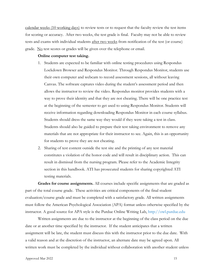calendar weeks (10 working days) to review tests or to request that the faculty review the test items for scoring or accuracy. After two weeks, the test grade is final. Faculty may not be able to review tests and exams with individual students after two weeks from notification of the test (or course) grade. No test scores or grades will be given over the telephone or email.

#### <span id="page-14-0"></span>**Online computer test taking.**

- 1. Students are expected to be familiar with online testing procedures using Respondus Lockdown Browser and Respondus Monitor. Through Respondus Monitor, students use their own computer and webcam to record assessment sessions, all without leaving Canvas. The software captures video during the student's assessment period and then allows the instructor to review the video. Respondus monitor provides students with a way to prove their identity and that they are not cheating. There will be one practice test at the beginning of the semester to get used to using Respondus Monitor. Students will receive information regarding downloading Respondus Monitor in each course syllabus. Students should dress the same way they would if they were taking a test in class. Students should also be guided to prepare their test taking environment to remove any materials that are not appropriate for their instructor to see. Again, this is an opportunity for students to prove they are not cheating.
- 2. Sharing of test content outside the test site and the printing of any test material constitutes a violation of the honor code and will result in disciplinary action. This can result in dismissal from the nursing program. Please refer to the Academic Integrity section in this handbook. ATI has prosecuted students for sharing copyrighted ATI testing materials.

<span id="page-14-1"></span>**Grades for course assignments.** All courses include specific assignments that are graded as part of the total course grade. These activities are critical components of the final student evaluation/course grade and must be completed with a satisfactory grade. All written assignments must follow the American Psychological Association (APA) format unless otherwise specified by the instructor. A good source for APA style is the Purdue Online Writing Lab, http://owl.purdue.edu

Written assignments are due to the instructor at the beginning of the class period on the due date or at another time specified by the instructor. If the student anticipates that a written assignment will be late, the student must discuss this with the instructor prior to the due date. With a valid reason and at the discretion of the instructor, an alternate date may be agreed upon. All written work must be completed by the individual without collaboration with another student unless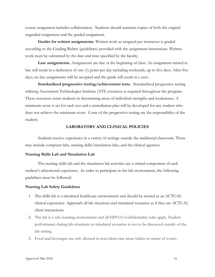course assignment includes collaboration. Students should maintain copies of both the original ungraded assignment and the graded assignment.

<span id="page-15-0"></span>**Grades for written assignments.** Written work as assigned per instructor is graded according to the Grading Rubric (guidelines) provided with the assignment instructions. Written work must be submitted by the date and time specified by the faculty.

<span id="page-15-1"></span>**Late assignments.** Assignments are due at the beginning of class. An assignment turned in late will result in a deduction of one (1) point per day including weekends, up to five days. After five days, no late assignments will be accepted and the grade will result in a zero.

<span id="page-15-2"></span>**Standardized progressive testing/achievement tests.** Standardized progressive testing utilizing Assessment Technologies Institute (ATI) resources is required throughout the program. These resources assist students in determining areas of individual strengths and weaknesses. A minimum score is set for each test and a remediation plan will be developed for any student who does not achieve the minimum score. Costs of the progressive testing are the responsibility of the student.

# **LABORATORY AND CLINICAL POLICIES**

<span id="page-15-3"></span>Students receive experience in a variety of settings outside the traditional classroom. These may include computer labs, nursing skills/simulation labs, and the clinical agencies.

#### <span id="page-15-4"></span>**Nursing Skills Lab and Simulation Lab**

The nursing skills lab and the simulation lab activities are a critical component of each student's educational experience. In order to participate in the lab environment, the following guidelines must be followed:

#### <span id="page-15-5"></span>**Nursing Lab Safety Guidelines**

- 1. The skills lab is a simulated healthcare environment and should be treated as an ACTUAL clinical experience. Approach all lab situations and simulated scenarios as if they are ACTUAL client interactions.
- 2. The lab is a safe learning environment and all HIPAA/confidentiality rules apply. Student performance during lab situations or simulated scenarios is not to be discussed outside of the lab setting.
- 3. Food and beverages are only allowed in non-client care areas (tables in center of room).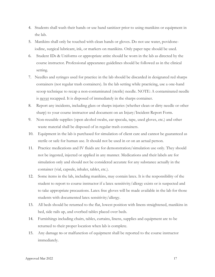- 4. Students shall wash their hands or use hand sanitizer prior to using manikins or equipment in the lab.
- 5. Manikins shall only be touched with clean hands or gloves. Do not use water, povidoneiodine, surgical lubricant, ink, or markers on manikins. Only paper tape should be used.
- 6. Student IDs & Uniforms or appropriate attire should be worn in the lab as directed by the course instructor. Professional appearance guidelines should be followed as in the clinical setting.
- 7. Needles and syringes used for practice in the lab should be discarded in designated red sharps containers (not regular trash containers). In the lab setting while practicing, use a one-hand scoop technique to recap a non-contaminated (sterile) needle. NOTE: A contaminated needle is never recapped. It is disposed of immediately in the sharps container.
- 8. Report any incidents, including glass or sharps injuries (whether clean or dirty needle or other sharp) to your course instructor and document on an Injury/Incident Report Form.
- 9. Non-reusable supplies (open alcohol swabs, ear specula, tape, used gloves, etc.) and other waste material shall be disposed of in regular trash containers.
- 10. Equipment in the lab is purchased for simulation of client care and cannot be guaranteed as sterile or safe for human use. It should not be used in or on an actual person.
- 11. Practice medications and IV fluids are for demonstration/simulation use only. They should not be ingested, injected or applied in any manner. Medications and their labels are for simulation only and should not be considered accurate for any substance actually in the container (vial, capsule, inhaler, tablet, etc.).
- 12. Some items in the lab, including manikins, may contain latex. It is the responsibility of the student to report to course instructor if a latex sensitivity/allergy exists or is suspected and to take appropriate precautions. Latex free gloves will be made available in the lab for those students with documented latex sensitivity/allergy.
- 13. All beds should be returned to the flat, lowest position with linens straightened, manikins in bed, side rails up, and overbed tables placed over beds.
- 14. Furnishings including chairs, tables, curtains, linens, supplies and equipment are to be returned to their proper location when lab is complete.
- 15. Any damage to or malfunction of equipment shall be reported to the course instructor immediately.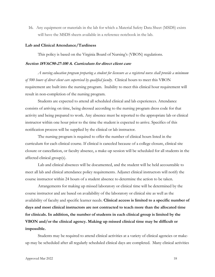16. Any equipment or materials in the lab for which a Material Safety Data Sheet (MSDS) exists will have the MSDS sheets available in a reference notebook in the lab.

#### <span id="page-17-0"></span>**Lab and Clinical Attendance/Tardiness**

This policy is based on the Virginia Board of Nursing's (VBON) regulations.

# **Section 18VAC90-27-100 A. Curriculum for direct client care**

*A nursing education program preparing a student for licensure as a registered nurse shall provide a minimum of 500 hours of direct client care supervised by qualified faculty.* Clinical hours to meet this VBON requirement are built into the nursing program. Inability to meet this clinical hour requirement will result in non-completion of the nursing program.

Students are expected to attend all scheduled clinical and lab experiences. Attendance consists of arriving on time, being dressed according to the nursing program dress code for that activity and being prepared to work. Any absence must be reported to the appropriate lab or clinical instructor within one hour prior to the time the student is expected to arrive. Specifics of this notification process will be supplied by the clinical or lab instructor.

The nursing program is required to offer the number of clinical hours listed in the curriculum for each clinical course. If clinical is canceled because of a college closure, clinical site closure or cancellation, or faculty absence, a make-up session will be scheduled for all students in the affected clinical group(s).

Lab and clinical absences will be documented, and the student will be held accountable to meet all lab and clinical attendance policy requirements. Adjunct clinical instructors will notify the course instructor within 24 hours of a student absence to determine the action to be taken.

Arrangements for making up missed laboratory or clinical time will be determined by the course instructor and are based on availability of the laboratory or clinical site as well as the availability of faculty and specific learner needs. **Clinical access is limited to a specific number of days and most clinical instructors are not contracted to teach more than the allocated time for clinicals. In addition, the number of students in each clinical group is limited by the VBON and/or the clinical agency. Making up missed clinical time may be difficult or impossible.** 

Students may be required to attend clinical activities at a variety of clinical agencies or makeup may be scheduled after all regularly scheduled clinical days are completed. Many clinical activities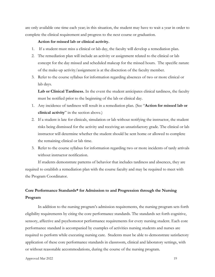are only available one time each year; in this situation, the student may have to wait a year in order to complete the clinical requirement and progress to the next course or graduation.

#### **Action for missed lab or clinical activity.**

- <span id="page-18-0"></span>1. If a student must miss a clinical or lab day, the faculty will develop a remediation plan.
- 2. The remediation plan will include an activity or assignment related to the clinical or lab concept for the day missed and scheduled makeup for the missed hours. The specific nature of the make-up activity/assignment is at the discretion of the faculty member.
- 3. Refer to the course syllabus for information regarding absences of two or more clinical or lab days.

<span id="page-18-1"></span>**Lab or Clinical Tardiness.** In the event the student anticipates clinical tardiness, the faculty must be notified prior to the beginning of the lab or clinical day.

- 1. Any incidence of tardiness will result in a remediation plan. (See "**Action for missed lab or clinical activity**" in the section above.)
- 2. If a student is late for clinicals, simulation or lab without notifying the instructor, the student risks being dismissed for the activity and receiving an unsatisfactory grade. The clinical or lab instructor will determine whether the student should be sent home or allowed to complete the remaining clinical or lab time.
- 3. Refer to the course syllabus for information regarding two or more incidents of tardy arrivals without instructor notification.

If students demonstrate patterns of behavior that includes tardiness and absences, they are required to establish a remediation plan with the course faculty and may be required to meet with the Program Coordinator.

# <span id="page-18-2"></span>**Core Performance Standards\* for Admission to and Progression through the Nursing Program**

In addition to the nursing program's admission requirements, the nursing program sets forth eligibility requirements by citing the core performance standards. The standards set forth cognitive, sensory, affective and psychomotor performance requirements for every nursing student. Each core performance standard is accompanied by examples of activities nursing students and nurses are required to perform while executing nursing care. Students must be able to demonstrate satisfactory application of these core performance standards in classroom, clinical and laboratory settings, with or without reasonable accommodations, during the course of the nursing program.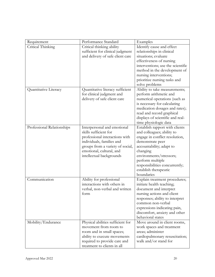| Requirement                | Performance Standard              | Examples                                    |
|----------------------------|-----------------------------------|---------------------------------------------|
| Critical Thinking          | Critical thinking ability         | Identify cause and effect                   |
|                            | sufficient for clinical judgment  | relationships in clinical                   |
|                            | and delivery of safe client care  | situations; evaluate                        |
|                            |                                   | effectiveness of nursing                    |
|                            |                                   | interventions; use the scientific           |
|                            |                                   | method in the development of                |
|                            |                                   | nursing interventions;                      |
|                            |                                   | prioritize nursing tasks and                |
|                            |                                   | solve problems                              |
| Quantitative Literacy      | Quantitative literacy sufficient  | Ability to take measurements;               |
|                            | for clinical judgment and         | perform arithmetic and                      |
|                            | delivery of safe client care      | numerical operations (such as               |
|                            |                                   | is necessary for calculating                |
|                            |                                   | medication dosages and rates);              |
|                            |                                   | read and record graphical                   |
|                            |                                   | displays of scientific and real-            |
|                            |                                   | time physiologic data                       |
| Professional Relationships | Interpersonal and emotional       | Establish rapport with clients              |
|                            | skills sufficient for             | and colleagues; ability to                  |
|                            | professional interactions with    | engage in conflict resolution,              |
|                            | individuals, families and         | demonstrate peer                            |
|                            | groups from a variety of social,  | accountability; adapt to                    |
|                            | emotional, cultural, and          | changing                                    |
|                            | intellectual backgrounds          | environments/stressors;<br>perform multiple |
|                            |                                   | responsibilities concurrently;              |
|                            |                                   | establish therapeutic                       |
|                            |                                   | boundaries                                  |
| Communication              | Ability for professional          | Explain treatment procedures;               |
|                            | interactions with others in       | initiate health teaching;                   |
|                            | verbal, non-verbal and written    | document and interpret                      |
|                            | form                              | nursing actions and client                  |
|                            |                                   | responses; ability to interpret             |
|                            |                                   | common non-verbal                           |
|                            |                                   | expressions indicating pain,                |
|                            |                                   | discomfort, anxiety and other               |
|                            |                                   | behavioral states                           |
| Mobility/Endurance         | Physical abilities sufficient for | Move around in client rooms,                |
|                            | movement from room to             | work spaces and treatment                   |
|                            | room and in small spaces;         | areas; administer                           |
|                            | ability to execute movements      | cardiopulmonary resuscitation;              |
|                            | required to provide care and      | walk and/or stand for                       |
|                            | treatment to clients in all       |                                             |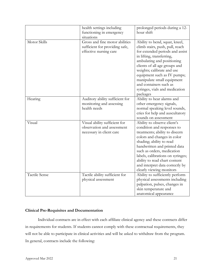|                      | health settings including<br>functioning in emergency<br>situations                        | prolonged periods during a 12-<br>hour shift                                                                                                                                                                                                                                                                                                                        |
|----------------------|--------------------------------------------------------------------------------------------|---------------------------------------------------------------------------------------------------------------------------------------------------------------------------------------------------------------------------------------------------------------------------------------------------------------------------------------------------------------------|
| <b>Motor Skills</b>  | Gross and fine motor abilities<br>sufficient for providing safe,<br>effective nursing care | Ability to bend, squat, kneel,<br>climb stairs, push, pull, reach<br>for extended periods and assist<br>in lifting, transferring,<br>ambulating and positioning<br>clients of all age groups and<br>weights; calibrate and use<br>equipment such as IV pumps;<br>manipulate small equipment<br>and containers such as<br>syringes, vials and medication<br>packages |
| Hearing              | Auditory ability sufficient for<br>monitoring and assessing<br>health needs                | Ability to hear alarms and<br>other emergency signals,<br>normal speaking level sounds,<br>cries for help and auscultatory<br>sounds on assessment                                                                                                                                                                                                                  |
| Visual               | Visual ability sufficient for<br>observation and assessment<br>necessary in client care    | Ability to observe client's<br>condition and responses to<br>treatments; ability to discern<br>colors and changes in color<br>shading; ability to read<br>handwritten and printed data<br>such as orders, medication<br>labels, calibrations on syringes;<br>ability to read chart content<br>and interpret data correctly by<br>clearly viewing monitors           |
| <b>Tactile Sense</b> | Tactile ability sufficient for<br>physical assessment                                      | Ability to sufficiently perform<br>physical assessments including<br>palpation, pulses, changes in<br>skin temperature and<br>anatomical appearance                                                                                                                                                                                                                 |

# <span id="page-20-0"></span>**Clinical Pre-Requisites and Documentation**

Individual contracts are in effect with each affiliate clinical agency and these contracts differ in requirements for students. If students cannot comply with these contractual requirements, they will not be able to participate in clinical activities and will be asked to withdraw from the program. In general, contracts include the following: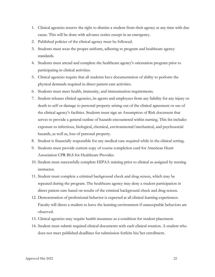- 1. Clinical agencies reserve the right to dismiss a student from their agency at any time with due cause. This will be done with advance notice except in an emergency.
- 2. Published policies of the clinical agency must be followed.
- 3. Students must wear the proper uniform, adhering to program and healthcare agency standards.
- 4. Students must attend and complete the healthcare agency's orientation program prior to participating in clinical activities.
- 5. Clinical agencies require that all students have documentation of ability to perform the physical demands required in direct patient care activities.
- 6. Students must meet health, immunity, and immunization requirements.
- 7. Student releases clinical agencies, its agents and employees from any liability for any injury or death to self or damage to personal property arising out of the clinical agreement or use of the clinical agency's facilities. Students must sign an Assumption of Risk document that serves to provide a general outline of hazards encountered within nursing. This list includes exposure to infectious, biological, chemical, environmental/mechanical, and psychosocial hazards, as well as, loss of personal property.
- 8. Student is financially responsible for any medical care required while in the clinical setting.
- 9. Students must provide current copy of course completion card for American Heart Association CPR BLS for Healthcare Provider.
- 10. Student must successfully complete HIPAA training prior to clinical as assigned by nursing instructor.
- 11. Student must complete a criminal background check and drug screen, which may be repeated during the program. The healthcare agency may deny a student participation in direct patient care based on results of the criminal background check and drug screen.
- 12. Demonstration of professional behavior is expected at all clinical learning experiences. Faculty will direct a student to leave the learning environment if unacceptable behaviors are observed.
- 13. Clinical agencies may require health insurance as a condition for student placement.
- 14. Student must submit required clinical documents with each clinical rotation. A student who does not meet published deadlines for submission forfeits his/her enrollment.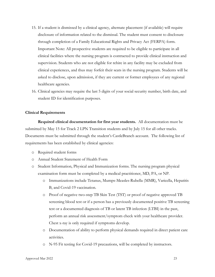- 15. If a student is dismissed by a clinical agency, alternate placement (if available) will require disclosure of information related to the dismissal. The student must consent to disclosure through completion of a Family Educational Rights and Privacy Act (FERPA) form. Important Note: All prospective students are required to be eligible to participate in all clinical facilities where the nursing program is contracted to provide clinical instruction and supervision. Students who are not eligible for rehire in any facility may be excluded from clinical experiences, and thus may forfeit their seats in the nursing program. Students will be asked to disclose, upon admission, if they are current or former employees of any regional healthcare agencies.
- 16. Clinical agencies may require the last 5 digits of your social security number, birth date, and student ID for identification purposes.

#### <span id="page-22-0"></span>**Clinical Requirements**

<span id="page-22-1"></span>**Required clinical documentation for first year students.** All documentation must be submitted by May 15 for Track 2 LPN Transition students and by July 15 for all other tracks. Documents must be submitted through the student's CastleBranch account. The following list of requirements has been established by clinical agencies:

- o Required student forms
- o Annual Student Statement of Health Form
- o Student Information, Physical and Immunization forms. The nursing program physical examination form must be completed by a medical practitioner, MD, PA, or NP.
	- o Immunizations include Tetanus, Mumps-Measles-Rubella (MMR), Varicella, Hepatitis B, and Covid-19 vaccination.
	- o Proof of negative two-step TB Skin Test (TST) or proof of negative approved TB screening blood test or if a person has a previously documented positive TB screening test or a documented diagnosis of TB or latent TB infection (LTBI) in the past, perform an annual risk assessment/symptom check with your healthcare provider. Chest x-ray is only required if symptoms develop.
	- o Documentation of ability to perform physical demands required in direct patient care activities.
	- o N-95 Fit testing for Covid-19 precautions, will be completed by instructors.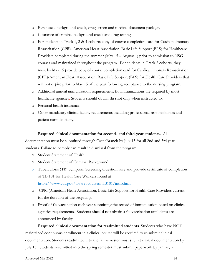- o Purchase a background check, drug screen and medical document package.
- o Clearance of criminal background check and drug testing
- $\circ$  For students in Track 1, 2 & 4 cohorts copy of course completion card for Cardiopulmonary Resuscitation (CPR)- American Heart Association, Basic Life Support (BLS) for Healthcare Providers completed during the summer (May 15 – August 1) prior to admission to NSG courses and maintained throughout the program. For students in Track 2 cohorts, they must by May 15 provide copy of course completion card for Cardiopulmonary Resuscitation (CPR)-American Heart Association, Basic Life Support (BLS) for Health Care Providers that will not expire prior to May 15 of the year following acceptance to the nursing program.
- o Additional annual immunization requirements: flu immunizations are required by most healthcare agencies. Students should obtain flu shot only when instructed to.
- o Personal health insurance
- o Other mandatory clinical facility requirements including professional responsibilities and patient confidentiality.

#### **Required clinical documentation for second- and third-year students.** All

<span id="page-23-0"></span>documentation must be submitted through CastleBranch by July 15 for all 2nd and 3rd year students. Failure to comply can result in dismissal from the program.

- o Student Statement of Health
- o Student Statement of Criminal Background
- o Tuberculosis (TB) Symptom Screening Questionnaire and provide certificate of completion of TB 101 for Health Care Workers found at <https://www.cdc.gov/tb/webcourses/TB101/intro.html>
- o CPR, (American Heart Association, Basic Life Support for Health Care Providers current for the duration of the program).
- o Proof of flu vaccination each year submitting the record of immunization based on clinical agencies requirements. Students **should not** obtain a flu vaccination until dates are announced by faculty.

<span id="page-23-1"></span>**Required clinical documentation for readmitted students**. Students who have NOT maintained continuous enrollment in a clinical course will be required to re-submit clinical documentation. Students readmitted into the fall semester must submit clinical documentation by July 15. Students readmitted into the spring semester must submit paperwork by January 2.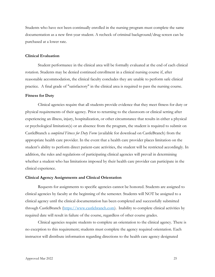Students who have not been continually enrolled in the nursing program must complete the same documentation as a new first-year student. A recheck of criminal background/drug screen can be purchased at a lower rate.

#### <span id="page-24-0"></span>**Clinical Evaluation**

Student performance in the clinical area will be formally evaluated at the end of each clinical rotation. Students may be denied continued enrollment in a clinical nursing course if, after reasonable accommodation, the clinical faculty concludes they are unable to perform safe clinical practice. A final grade of "satisfactory" in the clinical area is required to pass the nursing course.

#### <span id="page-24-1"></span>**Fitness for Duty**

Clinical agencies require that all students provide evidence that they meet fitness for duty or physical requirements of their agency. Prior to returning to the classroom or clinical setting after experiencing an illness, injury, hospitalization, or other circumstance that results in either a physical or psychological limitation(s) or an absence from the program, the student is required to submit on CastleBranch a *completed Fitness for Duty Form* (available for download on CastleBranch) from the appropriate health care provider. In the event that a health care provider places limitation on the student's ability to perform direct patient-care activities, the student will be restricted accordingly. In addition, the rules and regulations of participating clinical agencies will prevail in determining whether a student who has limitations imposed by their health care provider can participate in the clinical experience.

#### <span id="page-24-2"></span>**Clinical Agency Assignments and Clinical Orientation**

Requests for assignments to specific agencies cannot be honored. Students are assigned to clinical agencies by faculty at the beginning of the semester. Students will NOT be assigned to a clinical agency until the clinical documentation has been completed and successfully submitted through CastleBranch [\(https://www.castlebranch.com\)](https://www.castlebranch.com/). Inability to complete clinical activities by required date will result in failure of the course, regardless of other course grades.

Clinical agencies require students to complete an orientation to the clinical agency. There is no exception to this requirement; students must complete the agency required orientation. Each instructor will distribute information regarding directions to the health care agency designated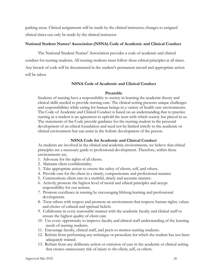parking areas. Clinical assignments will be made by the clinical instructor; changes to assigned clinical times can only be made by the clinical instructor.

# <span id="page-25-0"></span>**National Student Nurses' Association (NSNA) Code of Academic and Clinical Conduct**

The [National Student Nurses' Association](https://www.dropbox.com/s/sdk51g6r3c2pzpc/Code%20of%20Academic%20and%20Clinical%20Conduct%20With%20Interpretive%20Statements.pdf?dl=0) provides a code of academic and clinical conduct for nursing students. All nursing students must follow these ethical principles at all times. Any breach of code will be documented in the student's permanent record and appropriate action will be taken.

# **NSNA Code of Academic and Clinical Conduct**

### **Preamble**

Students of nursing have a responsibility to society in learning the academic theory and clinical skills needed to provide nursing care. The clinical setting presents unique challenges and responsibilities while caring for human beings in a variety of health care environments. The Code of Academic and Clinical Conduct is based on an understanding that to practice nursing as a student is an agreement to uphold the trust with which society has placed in us. The statements of the Code provide guidance for the nursing student in the personal development of an ethical foundation and need not be limited strictly to the academic or clinical environment but can assist in the holistic development of the person.

# **NSNA Code for Academic and Clinical Conduct**

As students are involved in the clinical and academic environments, we believe that ethical principles are a necessary guide to professional development. Therefore, within these environments we;

- 1. Advocate for the rights of all clients.
- 2. Maintain client confidentiality.
- 3. Take appropriate action to ensure the safety of clients, self, and others.
- 4. Provide care for the client in a timely, compassionate and professional manner.
- 5. Communicate client care in a truthful, timely and accurate manner.
- 6. Actively promote the highest level of moral and ethical principles and accept responsibility for our actions.
- 7. Promote excellence in nursing by encouraging lifelong learning and professional development.
- 8. Treat others with respect and promote an environment that respects human rights, values and choice of cultural and spiritual beliefs.
- 9. Collaborate in every reasonable manner with the academic faculty and clinical staff to ensure the highest quality of client care
- 10. Use every opportunity to improve faculty and clinical staff understanding of the learning needs of nursing students.
- 11. Encourage faculty, clinical staff, and peers to mentor nursing students.
- 12. Refrain from performing any technique or procedure for which the student has not been adequately trained.
- 13. Refrain from any deliberate action or omission of care in the academic or clinical setting that creates unnecessary risk of injury to the client, self, or others.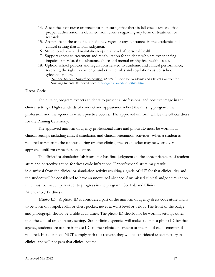- 14. Assist the staff nurse or preceptor in ensuring that there is full disclosure and that proper authorization is obtained from clients regarding any form of treatment or research.
- 15. Abstain from the use of alcoholic beverages or any substances in the academic and clinical setting that impair judgment.
- 16. Strive to achieve and maintain an optimal level of personal health.
- 17. Support access to treatment and rehabilitation for students who are experiencing impairments related to substance abuse and mental or physical health issues.
- 18. Uphold school policies and regulations related to academic and clinical performance, reserving the right to challenge and critique rules and regulations as per school grievance policy.

 [\(National Student Nurses' Association,](https://www.dropbox.com/s/sdk51g6r3c2pzpc/Code%20of%20Academic%20and%20Clinical%20Conduct%20With%20Interpretive%20Statements.pdf?dl=0) (2009). A Code for Academic and Clinical Conduct for Nursing Students. Retrieved from nsna.org/nsna-code-of-ethics.html

# <span id="page-26-0"></span>**Dress Code**

The nursing program expects students to present a professional and positive image in the clinical settings. High standards of conduct and appearance reflect the nursing program, the profession, and the agency in which practice occurs. The approved uniform will be the official dress for the Pinning Ceremony.

The approved uniform or agency professional attire and photo ID must be worn in all clinical settings including clinical simulation and clinical orientation activities. When a student is required to return to the campus during or after clinical, the scrub jacket may be worn over approved uniform or professional attire.

The clinical or simulation lab instructor has final judgment on the appropriateness of student attire and corrective action for dress code infractions. Unprofessional attire may result in dismissal from the clinical or simulation activity resulting a grade of "U" for that clinical day and the student will be considered to have an unexcused absence. Any missed clinical and/or simulation time must be made up in order to progress in the program. See Lab and Clinical Attendance/Tardiness.

<span id="page-26-1"></span>**Photo ID.** A photo ID is considered part of the uniform or agency dress code attire and is to be worn on a lapel, collar or chest pocket, never at waist level or below. The front of the badge and photograph should be visible at all times. The photo ID should not be worn in settings other than the clinical or laboratory setting. Some clinical agencies will make students a photo ID for that agency, students are to turn in these IDs to their clinical instructor at the end of each semester, if required. If students do NOT comply with this request, they will be considered unsatisfactory in clinical and will not pass that clinical course.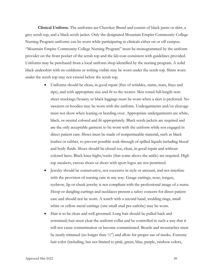<span id="page-27-0"></span>**Clinical Uniform.** The uniforms are Cherokee Brand and consist of black pants or skirt, a grey scrub top, and a black scrub jacket. Only the designated Mountain Empire Community College Nursing Program uniforms can be worn while participating in clinicals either on or off campus. "Mountain Empire Community College Nursing Program" must be monogrammed by the uniform provider on the front pocket of the scrub top and the lab coat consistent with guidelines provided. Uniforms may be purchased from a local uniform shop identified by the nursing program. A solid black undershirt with no emblems or writing visible may be worn under the scrub top. Shirts worn under the scrub top may not extend below the scrub top.

- Uniforms should be clean, in good repair (free of wrinkles, stains, tears, frays and rips), and with appropriate size and fit to the wearer. Skin toned full-length nonsheer stockings/hosiery or black leggings must be worn when a skirt is preferred. No sweaters or hoodies may be worn with the uniform. Undergarments and/or cleavage must not show when leaning or bending over. Appropriate undergarments are white, black, or neutral colored and fit appropriately. Black scrub jackets are required and are the only acceptable garment to be worn with the uniform while not engaged in direct patient care. Shoes must be made of nonpermeable material, such as black leather or rubber, to prevent possible soak-through of spilled liquids including blood and body fluids. Shoes should be closed toe, clean, in good repair and without colored laces. Black knee highs/socks (that come above the ankle) are required. High top sneakers, canvas shoes or shoes with sport logos are not permitted.
- Jewelry should be conservative, not excessive in style or amount, and not interfere with the provision of nursing care in any way. Gauge earrings, nose, tongue, eyebrow, lip or cheek jewelry is not compliant with the professional image of a nurse. Hoop or dangling earrings and necklaces present a safety concern for direct patient care and should not be worn. A watch with a second hand, wedding rings, small white or yellow metal earrings (one small stud per earlobe) may be worn.
- Hair is to be clean and well groomed. Long hair should be pulled back and restrained; hair must clear the uniform collar and be controlled in such a way that it will not cause contamination or become contaminated. Beards and moustaches must be neatly trimmed (no longer than  $\frac{1}{2}$ ) and allow for proper use of masks. Extreme hair color (including, but not limited to pink, green, blue, purple, rainbow colors,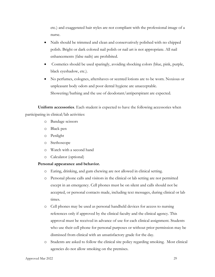etc.) and exaggerated hair styles are not compliant with the professional image of a nurse.

- Nails should be trimmed and clean and conservatively polished with no chipped polish. Bright or dark colored nail polish or nail art is not appropriate. All nail enhancements (false nails) are prohibited.
- Cosmetics should be used sparingly, avoiding shocking colors (blue, pink, purple, black eyeshadow, etc.).
- No perfumes, colognes, aftershaves or scented lotions are to be worn. Noxious or unpleasant body odors and poor dental hygiene are unacceptable. Showering/bathing and the use of deodorant/antiperspirant are expected.

<span id="page-28-0"></span>**Uniform accessories**. Each student is expected to have the following accessories when participating in clinical/lab activities:

- o Bandage scissors
- o Black pen
- o Penlight
- o Stethoscope
- o Watch with a second hand
- o Calculator (optional)

### <span id="page-28-1"></span>**Personal appearance and behavior.**

- o Eating, drinking, and gum chewing are not allowed in clinical setting.
- o Personal phone calls and visitors in the clinical or lab setting are not permitted except in an emergency. Cell phones must be on silent and calls should not be accepted, or personal contacts made, including text messages, during clinical or lab times.
- o Cell phones may be used as personal handheld devices for access to nursing references only if approved by the clinical faculty and the clinical agency. This approval must be received in advance of use for each clinical assignment. Students who use their cell phone for personal purposes or without prior permission may be dismissed from clinical with an unsatisfactory grade for the day.
- o Students are asked to follow the clinical site policy regarding smoking. Most clinical agencies do not allow smoking on the premises.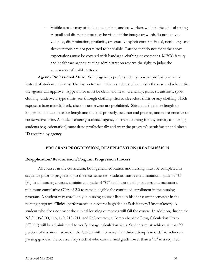o Visible tattoos may offend some patients and co-workers while in the clinical setting. A small and discreet tattoo may be visible if the images or words do not convey violence, discrimination, profanity, or sexually explicit content. Facial, neck, large and sleeve tattoos are not permitted to be visible. Tattoos that do not meet the above expectations must be covered with bandages, clothing or cosmetics. MECC faculty and healthcare agency nursing administration reserve the right to judge the appearance of visible tattoos.

<span id="page-29-0"></span>**Agency Professional Attire**. Some agencies prefer students to wear professional attire instead of student uniforms. The instructor will inform students when this is the case and what attire the agency will approve. Appearance must be clean and neat. Generally, jeans, sweatshirts, sport clothing, underwear-type shirts, see-through clothing, shorts, sleeveless shirts or any clothing which exposes a bare midriff, back, chest or underwear are prohibited. Skirts must be knee length or longer, pants must be ankle length and must fit properly, be clean and pressed, and representative of conservative attire. A student entering a clinical agency in street clothing for any activity as nursing students (e.g. orientation) must dress professionally and wear the program's scrub jacket and photo ID required by agency.

#### **PROGRAM PROGRESSION, REAPPLICATION/READMISSION**

#### <span id="page-29-2"></span><span id="page-29-1"></span>**Reapplication/Readmission/Program Progression Process**

All courses in the curriculum, both general education and nursing, must be completed in sequence prior to progressing to the next semester. Students must earn a minimum grade of "C" (80) in all nursing courses, a minimum grade of "C" in all non-nursing courses and maintain a minimum cumulative GPA of 2.0 to remain eligible for continued enrollment in the nursing program. A student may enroll only in nursing courses listed in his/her current semester in the nursing program. Clinical performance in a course is graded as Satisfactory/Unsatisfactory. A student who does not meet the clinical learning outcomes will fail the course. In addition, during the NSG 106/100, 115, 170, 210/211, and 252 courses, a Comprehensive Drug Calculation Exam (CDCE) will be administered to verify dosage calculation skills. Students must achieve at least 90 percent of maximum score on the CDCE with no more than three attempts in order to achieve a passing grade in the course. Any student who earns a final grade lower than a "C" in a required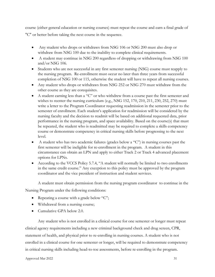course (either general education or nursing courses) must repeat the course and earn a final grade of "C" or better before taking the next course in the sequence.

- Any student who drops or withdraws from NSG 106 or NSG 200 must also drop or withdraw from NSG 100 due to the inability to complete clinical requirements.
- A student may continue in NSG 200 regardless of dropping or withdrawing from NSG 100 and/or NSG 106.
- Students who are not successful in any first semester nursing (NSG) course must reapply to the nursing program. Re-enrollment must occur no later than three years from successful completion of NSG 100 or 115, otherwise the student will have to repeat all nursing courses.
- Any student who drops or withdraws from NSG 252 or NSG 270 must withdraw from the other course as they are corequisites.
- A student earning less than a "C" or who withdrew from a course past the first semester and wishes to reenter the nursing curriculum (e.g., NSG 152, 170, 210, 211, 230, 252, 270) must write a letter to the Program Coordinator requesting readmission in the semester prior to the semester of enrollment. Each student's application for readmission will be considered by the nursing faculty and the decision to readmit will be based on additional requested data, prior performance in the nursing program, and space availability. Based on the course(s) that must be repeated, the student who is readmitted may be required to complete a skills competency course or demonstrate competency in critical nursing skills before progressing to the next level.
- A student who has two academic failures (grades below a "C") in nursing courses past the first semester will be ineligible for re-enrollment in the program. A student in this circumstance can obtain an LPN and apply to either Track 2 or Track 4 advanced placement options for LPNs.
- According to the VCCS Policy 5.7.4, "A student will normally be limited to two enrollments in the same credit course." Any exception to this policy must be approved by the program coordinator and the vice president of instruction and student services.

A student must obtain permission from the nursing program coordinator to continue in the

Nursing Program under the following conditions:

- Repeating a course with a grade below "C";
- Withdrawal from a nursing course;
- Cumulative GPA below 2.0.

Any student who is not enrolled in a clinical course for one semester or longer must repeat clinical agency requirements including a new criminal background check and drug screen, CPR, statement of health, and physical prior to re-enrolling in nursing courses. A student who is not enrolled in a clinical course for one semester or longer, will be required to demonstrate competency in critical nursing skills including head-to-toe assessments, before re-enrolling in the program.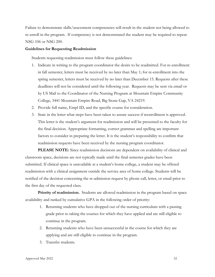Failure to demonstrate skills/assessment competencies will result in the student not being allowed to re-enroll in the program. If competency is not demonstrated the student may be required to repeat NSG 106 or NSG 200.

#### <span id="page-31-0"></span>**Guidelines for Requesting Readmission**

Students requesting readmission must follow these guidelines:

- 1. Indicate in writing to the program coordinator the desire to be readmitted. For re-enrollment in fall semester, letters must be received by no later than May 1; for re-enrollment into the spring semester, letters must be received by no later than December 15. Requests after these deadlines will not be considered until the following year. Requests may be sent via email or by US Mail to the Coordinator of the Nursing Program at Mountain Empire Community College, 3441 Mountain Empire Road, Big Stone Gap, VA 24219.
- 2. Provide full name, Empl ID, and the specific course for consideration.
- 3. State in the letter what steps have been taken to assure success if reenrollment is approved. This letter is the student's argument for readmission and will be presented to the faculty for the final decision. Appropriate formatting, correct grammar and spelling are important factors to consider in preparing the letter. It is the student's responsibility to confirm that readmission requests have been received by the nursing program coordinator.

PLEASE NOTE: Since readmission decisions are dependent on availability of clinical and classroom space, decisions are not typically made until the final semester grades have been submitted. If clinical space is unavailable at a student's home college, a student may be offered readmission with a clinical assignment outside the service area of home college. Students will be notified of the decision concerning the re-admission request by phone call, letter, or email prior to the first day of the requested class.

<span id="page-31-1"></span>**Priority of readmission.** Students are allowed readmission in the program based on space availability and ranked by cumulative GPA in the following order of priority:

- 1. Returning students who have dropped out of the nursing curriculum with a passing grade prior to taking the courses for which they have applied and are still eligible to continue in the program.
- 2. Returning students who have been unsuccessful in the course for which they are applying and are still eligible to continue in the program.
- 3. Transfer students.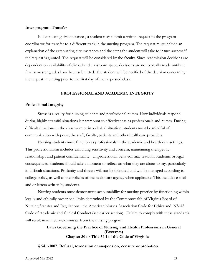#### <span id="page-32-0"></span>**Inter-program Transfer**

In extenuating circumstances, a student may submit a written request to the program coordinator for transfer to a different track in the nursing program. The request must include an explanation of the extenuating circumstances and the steps the student will take to insure success if the request is granted. The request will be considered by the faculty. Since readmission decisions are dependent on availability of clinical and classroom space, decisions are not typically made until the final semester grades have been submitted. The student will be notified of the decision concerning the request in writing prior to the first day of the requested class.

## **PROFESSIONAL AND ACADEMIC INTEGRITY**

#### <span id="page-32-2"></span><span id="page-32-1"></span>**Professional Integrity**

Stress is a reality for nursing students and professional nurses. How individuals respond during highly stressful situations is paramount to effectiveness as professionals and nurses. During difficult situations in the classroom or in a clinical situation, students must be mindful of communication with peers, the staff, faculty, patients and other healthcare providers.

Nursing students must function as professionals in the academic and health care settings. This professionalism includes exhibiting sensitivity and concern, maintaining therapeutic relationships and patient confidentiality. Unprofessional behavior may result in academic or legal consequences. Students should take a moment to reflect on what they are about to say, particularly in difficult situations. Profanity and threats will not be tolerated and will be managed according to college policy, as well as the policies of the healthcare agency when applicable. This includes e-mail and or letters written by students.

Nursing students must demonstrate accountability for nursing practice by functioning within legally and ethically prescribed limits determined by the [Commonwealth of Virginia Board of](http://www.dhp.virginia.gov/nursing/nursing_laws_regs.htm)  [Nursing Statutes and Regulations;](http://www.dhp.virginia.gov/nursing/nursing_laws_regs.htm) the [American Nurses Association Code for Ethics](http://nursingworld.org/DocumentVault/Ethics-1/Code-of-Ethics-for-Nurses.html) and NSNA Code of Academic and Clinical Conduct (see earlier section). Failure to comply with these standards will result in immediate dismissal from the nursing program.

# <span id="page-32-3"></span>**Laws Governing the Practice of Nursing and Health Professions in General (Excerpts) Chapter 30 or Title 54.1 of the Code of Virginia**

**§ 54.1-3007. Refusal, revocation or suspension, censure or probation.**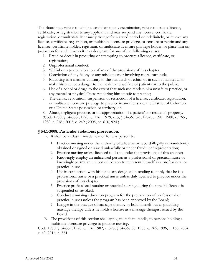The Board may refuse to admit a candidate to any examination, refuse to issue a license, certificate, or registration to any applicant and may suspend any license, certificate, registration, or multistate licensure privilege for a stated period or indefinitely, or revoke any license, certificate, registration, or multistate licensure privilege, or censure or reprimand any licensee, certificate holder, registrant, or multistate licensure privilege holder, or place him on probation for such time as it may designate for any of the following causes:

- 1. Fraud or deceit in procuring or attempting to procure a license, certificate, or registration;
- 2. Unprofessional conduct;
- 3. Willful or repeated violation of any of the provisions of this chapter;
- 4. Conviction of any felony or any misdemeanor involving moral turpitude;
- 5. Practicing in a manner contrary to the standards of ethics or in such a manner as to make his practice a danger to the health and welfare of patients or to the public;
- 6. Use of alcohol or drugs to the extent that such use renders him unsafe to practice, or any mental or physical illness rendering him unsafe to practice;
- 7. The denial, revocation, suspension or restriction of a license, certificate, registration, or multistate licensure privilege to practice in another state, the District of Columbia or a United States possession or territory; or

8. Abuse, negligent practice, or misappropriation of a patient's or resident's property. (Code 1950, § 54-353 ; 1970, c. 116 ; 1979, c. 5, § 54-367.32 ; 1982, c. 598 ; 1988, c. 765 ; 1989, c. 278 ; 2003, c. 249 ; 2005, cc. 610, 924.)

# **§ 54.1-3008. Particular violations; prosecution.**

A. It shall be a Class 1 misdemeanor for any person to:

- 1. Practice nursing under the authority of a license or record illegally or fraudulently obtained or signed or issued unlawfully or under fraudulent representation;
- 2. Practice nursing unless licensed to do so under the provisions of this chapter;
- 3. Knowingly employ an unlicensed person as a professional or practical nurse or knowingly permit an unlicensed person to represent himself as a professional or practical nurse;
- 4. Use in connection with his name any designation tending to imply that he is a professional nurse or a practical nurse unless duly licensed to practice under the provisions of this chapter;
- 5. Practice professional nursing or practical nursing during the time his license is suspended or revoked;
- 6. Conduct a nursing education program for the preparation of professional or practical nurses unless the program has been approved by the Board;
- 7. Engage in the practice of massage therapy or hold himself out as practicing massage therapy unless he holds a license as a massage therapist issued by the Board.
- B. The provisions of this section shall apply, mutatis mutandis, to persons holding a multistate licensure privilege to practice nursing.

Code 1950, § 54-359; 1970, c. 116; 1982, c. 598, § 54-367.35; 1988, c. 765; 1996, c. [166;](http://lis.virginia.gov/cgi-bin/legp604.exe?961+ful+CHAP0166) 2004, c. [49;](http://lis.virginia.gov/cgi-bin/legp604.exe?041+ful+CHAP0049) 2016, c. [324](http://lis.virginia.gov/cgi-bin/legp604.exe?161+ful+CHAP0324)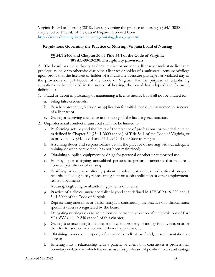Virginia Board of Nursing (2018). Laws governing the practice of nursing, §§ 54.1-3000 and chapter 30 of Title 54.1of the *Code of Virginia.* Retrieved from [http://www.dhp.virginia.gov/nursing/nursing\\_laws\\_regs.htm.](http://www.dhp.virginia.gov/nursing/nursing_laws_regs.htm)

# <span id="page-34-0"></span>**Regulations Governing the Practice of Nursing, Virginia Board of Nursing**

# **§§ 54.1-2400 and Chapter 30 of Title 54.1 of the Code of Virginia 18VAC-90-19-230. Disciplinary provisions.**

A. The board has the authority to deny, revoke or suspend a license or multistate licensure privilege issued, or to otherwise discipline a licensee or holder of a multistate licensure privilege upon proof that the licensee or holder of a multistate licensure privilege has violated any of the provisions of §54.1-3007 of the Code of Virginia. For the purpose of establishing allegations to be included in the notice of hearing, the board has adopted the following definitions:

- 1. Fraud or deceit in procuring or maintaining a license means, but shall not be limited to:
	- a. Filing false credentials;
	- b. Falsely representing facts on an application for initial license, reinstatement or renewal of a license; or
	- c. Giving or receiving assistance in the taking of the licensing examination.
- 2. Unprofessional conduct means, but shall not be limited to:
	- a. Performing acts beyond the limits of the practice of professional or practical nursing as defined in Chapter 30 (§54.1-3000 et seq.) of Title 54.1 of the Code of Virginia, or as provided by §54.1-2901 and 54.1-2957 of the Code of Virginia;
	- b. Assuming duties and responsibilities within the practice of nursing without adequate training or when competency has not been maintained;
	- c. Obtaining supplies, equipment or drugs for personal or other unauthorized use;
	- d. Employing or assigning unqualified persons to perform functions that require a licensed practitioner of nursing;
	- e. Falsifying or otherwise altering patient, employer, student, or educational program records, including falsely representing facts on a job application or other employmentrelated documents;
	- f. Abusing, neglecting or abandoning patients or clients;
	- g. Practice of a clinical nurse specialist beyond that defined in 18VAC90-19-220 and; § 54.1-3000 of the Code of Virginia;
	- h. Representing oneself as or performing acts constituting the practice of a clinical nurse specialist unless so registered by the board;
	- i. Delegating nursing tasks to an unlicensed person in violation of the provisions of Part VI (18VAC90-19-240 et seq.) of this chapter;
	- j. Giving to or accepting from a patient or client property or money for any reason other than fee for service or a nominal token of appreciation;
	- k. Obtaining money or property of a patient or client by fraud, misrepresentation or duress;
	- l. Entering into a relationship with a patient or client that constitutes a professional boundary violation in which the nurse uses his professional position to take advantage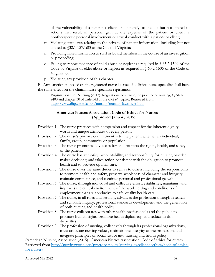of the vulnerability of a patient, a client or his family, to include but not limited to actions that result in personal gain at the expense of the patient or client, a nontherapeutic personal involvement or sexual conduct with a patient or client;

- m. Violating state laws relating to the privacy of patient information, including but not limited to §32.1-127.1:03 of the Code of Virginia;
- n. Providing false information to staff or board members in the course of an investigation or proceeding;
- o. Failing to report evidence of child abuse or neglect as required in § 63.2-1509 of the Code of Virginia or elder abuse or neglect as required in § 63.2-1606 of the Code of Virginia; or
- p. Violating any provision of this chapter.

B. Any sanction imposed on the registered nurse license of a clinical nurse specialist shall have the same effect on the clinical nurse specialist registration.

Virginia Board of Nursing (2017). Regulations governing the practice of nursing, §§ 54.1- 2400 and chapter 30 of Title 54.1of the *Code of Virginia.* Retrieved from [http://www.dhp.virginia.gov/nursing/nursing\\_laws\\_regs.htm.](http://www.dhp.virginia.gov/nursing/nursing_laws_regs.htm)

# **American Nurses Association, Code of Ethics for Nurses (Approved January 2015)**

- <span id="page-35-0"></span>Provision 1. The nurse practices with compassion and respect for the inherent dignity, worth and unique attributes of every person.
- Provision 2. The nurse's primary commitment is to the patient, whether an individual, family, group, community or population.
- Provision 3. The nurse promotes, advocates for, and protects the rights, health, and safety of the patient.
- Provision 4. The nurse has authority, accountability, and responsibility for nursing practice; makes decisions; and takes action consistent with the obligation to promote health and to provide optimal care.
- Provision 5. The nurse owes the same duties to self as to others, including the responsibility to promote health and safety, preserve wholeness of character and integrity, maintain competence, and continue personal and professional growth.
- Provision 6. The nurse, through individual and collective effort, establishes, maintains, and improves the ethical environment of the work setting and conditions of employment that are conducive to safe, quality health care.
- Provision 7. The nurse, in all roles and settings, advances the profession through research and scholarly inquiry, professional standards development, and the generation of both nursing and health policy.
- Provision 8. The nurse collaborates with other health professionals and the public to promote human rights, promote health diplomacy, and reduce health disparities.
- Provision 9. The profession of nursing, collectively through its professional organizations, must articulate nursing values, maintain the integrity of the profession, and integrate principles of social justice into nursing and health policy.

(American Nursing Association (2015). American Nurses Association, Code of ethics for nurses. Retrieved from [http://nursingworld.org/practoce-policy/nursing-excellence/ethics/code-of-ethics](http://nursingworld.org/practoce-policy/nursing-excellence/ethics/code-of-ethics-for%20nurses/)[for nurses/](http://nursingworld.org/practoce-policy/nursing-excellence/ethics/code-of-ethics-for%20nurses/)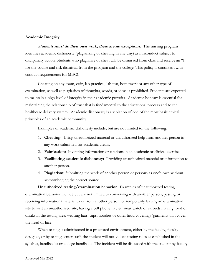#### <span id="page-36-0"></span>**Academic Integrity**

**Students must do their own work; there are no exceptions.** The nursing program identifies academic dishonesty (plagiarizing or cheating in any way) as misconduct subject to disciplinary action. Students who plagiarize or cheat will be dismissed from class and receive an "F" for the course and risk dismissal from the program and the college. This policy is consistent with conduct requirements for MECC.

Cheating on any exam, quiz, lab practical, lab test, homework or any other type of examination, as well as plagiarism of thoughts, words, or ideas is prohibited. Students are expected to maintain a high level of integrity in their academic pursuits. Academic honesty is essential for maintaining the relationship of trust that is fundamental to the educational process and to the healthcare delivery system. Academic dishonesty is a violation of one of the most basic ethical principles of an academic community.

Examples of academic dishonesty include, but are not limited to, the following:

- 1. **Cheating:** Using unauthorized material or unauthorized help from another person in any work submitted for academic credit.
- 2. **Fabrication:** Inventing information or citations in an academic or clinical exercise.
- 3. **Facilitating academic dishonesty:** Providing unauthorized material or information to another person.
- 4. **Plagiarism:** Submitting the work of another person or persons as one's own without acknowledging the correct source.

<span id="page-36-1"></span>**Unauthorized testing/examination behavior**. Examples of unauthorized testing examination behavior include but are not limited to conversing with another person, passing or receiving information/material to or from another person, or temporarily leaving an examination site to visit an unauthorized site; having a cell phone, tablet, smartwatch or earbuds; having food or drinks in the testing area; wearing hats, caps, hoodies or other head coverings/garments that cover the head or face.

When testing is administered in a proctored environment, either by the faculty, faculty designee, or by testing center staff, the student will not violate testing rules as established in the syllabus, handbooks or college handbook. The incident will be discussed with the student by faculty.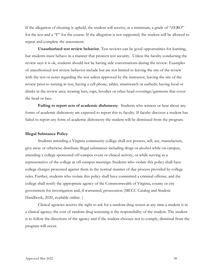If the allegation of cheating is upheld, the student will receive, at a minimum, a grade of "ZERO" for the test and a "F" for the course. If the allegation is not supported, the student will be allowed to repeat and complete the assessment.

<span id="page-37-0"></span>**Unauthorized test review behavior.** Test reviews can be good opportunities for learning, but students must behave in a manner that protects test security. Unless the faculty conducting the review says it is ok, students should not be having side conversations during the review. Examples of unauthorized test review behavior include but are not limited to leaving the site of the review with the test or notes regarding the test unless approved by the instructor, leaving the site of the review prior to turning in test, having a cell phone, tablet, smartwatch or earbuds; having food or drinks in the review area; wearing hats, caps, hoodies or other head coverings/garments that cover the head or face.

<span id="page-37-1"></span>**Failing to report acts of academic dishonesty**. Students who witness or hear about any forms of academic dishonesty are expected to report this to faculty. If faculty discover a student has failed to report any form of academic dishonesty the student will be dismissed from the program.

#### <span id="page-37-2"></span>**Illegal Substance Policy**

Students attending a Virginia community college shall not possess, sell, use, manufacture, give away or otherwise distribute illegal substances including drugs or alcohol while on campus, attending a college sponsored off-campus event or clinical activity, or while serving as a representative of the college at off-campus meetings. Students who violate this policy shall have college charges processed against them in the normal manner of due process provided by college rules. Further, students who violate this policy shall have committed a criminal offense, and the college shall notify the appropriate agency of the Commonwealth of Virginia, county or city government for investigation and, if warranted, prosecution (MECC Catalog and Student Handbook, 2020, available online. )

Clinical agencies reserve the right to ask for a random drug screen at any time a student is in a clinical agency; the cost of random drug screening is the responsibility of the student. The student is to follow the directions of the agency and if the student chooses not to comply, dismissal from the program will occur.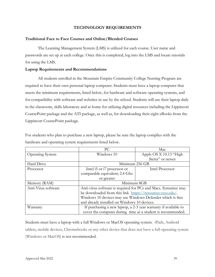# **TECHNOLOGY REQUIREMENTS**

# <span id="page-38-1"></span><span id="page-38-0"></span>**Traditional Face to Face Courses and Online/Blended Courses**

The Learning Management System (LMS) is utilized for each course. User name and passwords are set up at each college. Once this is completed, log into the LMS and locate tutorials for using the LMS.

# <span id="page-38-2"></span>**Laptop Requirements and Recommendations**

All students enrolled in the Mountain Empire Community College Nursing Program are required to have their own personal laptop computer. Students must have a laptop computer that meets the minimum requirements, listed below, for hardware and software operating systems, and for compatibility with software and websites in use by the school. Students will use their laptop daily in the classroom, skills laboratory and at home for utilizing digital resources including the Lippincott CoursePoint package and the ATI package, as well as, for downloading their eight eBooks from the Lippincott CoursePoint package.

For students who plan to purchase a new laptop, please be sure the laptop complies with the hardware and operating system requirements listed below.

|                         | PC                                                              | Mac                    |  |
|-------------------------|-----------------------------------------------------------------|------------------------|--|
| <b>Operating System</b> | Windows 10                                                      | Apple OS X 10.13 "High |  |
|                         |                                                                 | Sierra" or newer       |  |
| Hard Drive              | Minimum 256 GB                                                  |                        |  |
| Processor               | Intel i5 or i7 processor or                                     | Intel Processor        |  |
|                         | comparable equivalent; 2.4 Ghz                                  |                        |  |
|                         | or greater                                                      |                        |  |
| Memory (RAM)            | Minimum 8GB                                                     |                        |  |
| Anti-Virus software     | Anti-virus software is required for PCs and Macs. Symantec may  |                        |  |
|                         | be downloaded from this link https://resources.vccs.edu/.       |                        |  |
|                         | Windows 10 devices may use Windows Defender which is free       |                        |  |
|                         | and already installed on Windows 10 devices.                    |                        |  |
| Warranty                | If purchasing a new laptop, a 2-3 year warranty if available to |                        |  |
|                         | cover the computer during time as a student is recommended.     |                        |  |

Students must have a laptop with a full Windows or MacOS operating system. iPads, Android tablets, mobile devices, Chromebooks or any other device that does not have a full operating system (Windows or MacOS) is not recommended.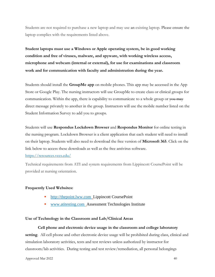Students are not required to purchase a new laptop and may use an existing laptop. Please ensure the laptop complies with the requirements listed above.

**Student laptops must use a Windows or Apple operating system, be in good working condition and free of viruses, malware, and spyware, with working wireless access, microphone and webcam (internal or external), for use for examinations and classroom work and for communication with faculty and administration during the year.**

Students should install the **GroupMe app** on mobile phones. This app may be accessed in the App Store or Google Play. The nursing instructors will use GroupMe to create class or clinical groups for communication. Within the app, there is capability to communicate to a whole group or you may direct message privately to another in the group. Instructors will use the mobile number listed on the Student Information Survey to add you to groups.

Students will use **Respondus Lockdown Browser** and **Respondus Monitor** for online testing in the nursing program. Lockdown Browser is a client application that each student will need to install on their laptop. Students will also need to download the free version of **Microsoft 365**. Click on the link below to access these downloads as well as the free antivirus software.

<https://resources.vccs.edu/>

Technical requirements from ATI and system requirements from Lippincott CoursePoint will be provided at nursing orientation.

### **Frequently Used Websites:**

- [http://thepoint.lww.com](http://thepoint.lww.com/) Lippincott CoursePoint
- [www.atitesting.com](http://www.atitesting.com/) Assessment Technologies Institute

#### <span id="page-39-0"></span>**Use of Technology in the Classroom and Lab/Clinical Areas**

#### **Cell phone and electronic device usage in the classroom and college laboratory**

<span id="page-39-1"></span>**setting**. All cell phone and other electronic device usage will be prohibited during class, clinical and simulation laboratory activities, tests and test reviews unless authorized by instructor for classroom/lab activities. During testing and test review/remediation, all personal belongings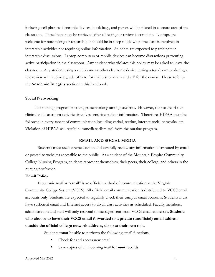including cell phones, electronic devices, book bags, and purses will be placed in a secure area of the classroom. These items may be retrieved after all testing or review is complete. Laptops are welcome for note-taking or research but should be in sleep mode when the class is involved in interactive activities not requiring online information. Students are expected to participate in interactive discussions. Laptop computers or mobile devices can become distractions preventing active participation in the classroom. Any student who violates this policy may be asked to leave the classroom. Any student using a cell phone or other electronic device during a test/exam or during a test review will receive a grade of zero for that test or exam and a F for the course. Please refer to the **Academic Integrity** section in this handbook.

#### <span id="page-40-0"></span>**Social Networking**

The nursing program encourages networking among students. However, the nature of our clinical and classroom activities involves sensitive patient information. Therefore, HIPAA must be followed in every aspect of communication including verbal, texting, internet social networks, etc. Violation of HIPAA will result in immediate dismissal from the nursing program.

#### **EMAIL AND SOCIAL MEDIA**

<span id="page-40-1"></span>Students must use extreme caution and carefully review any information distributed by email or posted to websites accessible to the public. As a student of the Mountain Empire Community College Nursing Program, students represent themselves, their peers, their college, and others in the nursing profession.

#### <span id="page-40-2"></span>**Email Policy**

Electronic mail or "email" is an official method of communication at the Virginia Community College System (VCCS). All official email communication is distributed to VCCS email accounts only. Students are expected to regularly check their campus email accounts. Students must have sufficient email and Internet access to do all class activities as scheduled. Faculty members, administration and staff will only respond to messages sent from VCCS email addresses. **Students who choose to have their VCCS email forwarded to a private (unofficial) email address outside the official college network address, do so at their own risk.** 

Students **must** be able to perform the following email functions:

- Check for and access new email
- Save copies of all incoming mail for your records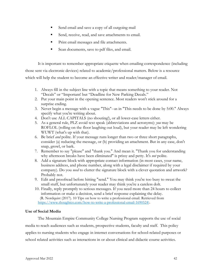- Send email and save a copy of all outgoing mail
- Send, receive, read, and save attachments to email.
- Print email messages and file attachments.
- Scan documents, save to pdf files, and email.

It is important to remember appropriate etiquette when emailing correspondence (including those sent via electronic devices) related to academic/professional matters. Below is a resource which will help the student to become an effective writer and reader/manager of email.

- 1. Always fill in the subject line with a topic that means something to your reader. Not "Decals" or "Important! but "Deadline for New Parking Decals."
- 2. Put your main point in the opening sentence. Most readers won't stick around for a surprise ending.
- 3. Never begin a message with a vague "This"--as in "This needs to be done by 5:00." Always specify what you're writing about.
- 4. Don't use ALL CAPITALS (no shouting!), or all lower-case letters either.
- 5. As a general rule, PLZ avoid text speak (abbreviations and acronyms): *you* may be ROFLOL (rolling on the floor laughing out loud), but your reader may be left wondering WUWT (what's up with that).
- 6. Be brief *and* polite. If your message runs longer than two or three short paragraphs, consider (a) reducing the message, or (b) providing an attachment. But in any case, don't snap, growl, or bark.
- 7. Remember to say "please" and "thank you." And mean it. "Thank you for understanding why afternoon breaks have been eliminated" is prissy and petty. It's *not* polite.
- 8. Add a signature block with appropriate contact information (in most cases, your name, business address, and phone number, along with a legal disclaimer if required by your company). Do you *need* to clutter the signature block with a clever quotation and artwork? Probably not.
- 9. Edit and proofread before hitting "send." You may think you're too busy to sweat the small stuff, but unfortunately your reader may think you're a careless dolt.
- 10. Finally, reply promptly to serious messages. If you need more than 24 hours to collect information or make a decision, send a brief response explaining the delay. (R. Nordquist (2017). 10 Tips on how to write a professional email. Retrieved from [https://www.thoughtco.com/how-to-write-a-professional-email-1690524\)](https://www.thoughtco.com/how-to-write-a-professional-email-1690524).

# <span id="page-41-0"></span>**Use of Social Media**

The Mountain Empire Community College Nursing Program supports the use of social media to reach audiences such as students, prospective students, faculty and staff. This policy applies to nursing students who engage in internet conversations for school-related purposes or school related activities such as interactions in or about clinical and didactic course activities.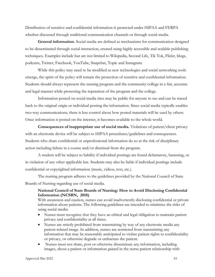Distribution of sensitive and confidential information is protected under HIPAA and FERPA whether discussed through traditional communication channels or through social media.

<span id="page-42-0"></span>**General information.** Social media are defined as mechanisms for communication designed to be disseminated through social interaction, created using highly accessible and scalable publishing techniques. Examples include but are not limited to Wikipedia, Second Life, Tik Tok, Flickr, blogs, podcasts, Twitter, Facebook, YouTube, Snapchat, Topic and Instagram.

While this policy may need to be modified as new technologies and social networking tools emerge, the spirit of the policy will remain the protection of sensitive and confidential information. Students should always represent the nursing program and the community college in a fair, accurate and legal manner while protecting the reputation of the program and the college.

Information posted on social media sites may be public for anyone to see and can be traced back to the original origin or individual posting the information. Since social media typically enables two-way communications, there is less control about how posted materials will be used by others. Once information is posted on the internet, it becomes available to the whole world.

<span id="page-42-1"></span>**Consequences of inappropriate use of social media.** Violations of patient/client privacy with an electronic device will be subject to HIPAA procedures/guidelines and consequences. Students who share confidential or unprofessional information do so at the risk of disciplinary action including failure in a course and/or dismissal from the program.

A student will be subject to liability if individual postings are found defamatory, harassing, or in violation of any other applicable law. Students may also be liable if individual postings include confidential or copyrighted information (music, videos, text, etc.).

The nursing program adheres to the guidelines provided by the National Council of State Boards of Nursing regarding use of social media.

# **National Council of State Boards of Nursing: How to Avoid Disclosing Confidential Information [\(NCSBN,](https://www.ncsbn.org/Social_media_guidelines.pdf) 2018)**

With awareness and caution, nurses can avoid inadvertently disclosing confidential or private information about patients. The following guidelines are intended to minimize the risks of using social media:

- Nurses must recognize that they have an ethical and legal obligation to maintain patient privacy and confidentiality at all times.
- Nurses are strictly prohibited from transmitting by way of any electronic media any patient-related image. In addition, nurses are restricted from transmitting any information that may be reasonably anticipated to violate patient rights to confidentiality or privacy, or otherwise degrade or embarrass the patient.
- Nurses must not share, post or otherwise disseminate any information, including images, about a patient or information gained in the nurse-patient relationship with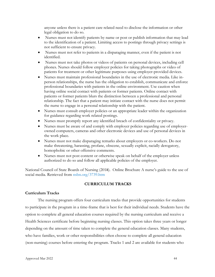anyone unless there is a patient care related need to disclose the information or other legal obligation to do so.

- Nurses must not identify patients by name or post or publish information that may lead to the identification of a patient. Limiting access to postings through privacy settings is not sufficient to ensure privacy.
- Nurses must not refer to patients in a disparaging manner, even if the patient is not identified.
- Nurses must not take photos or videos of patients on personal devices, including cell phones. Nurses should follow employer policies for taking photographs or video of patients for treatment or other legitimate purposes using employer-provided devices.
- Nurses must maintain professional boundaries in the use of electronic media. Like inperson relationships, the nurse has the obligation to establish, communicate and enforce professional boundaries with patients in the online environment. Use caution when having online social contact with patients or former patients. Online contact with patients or former patients blurs the distinction between a professional and personal relationship. The fact that a patient may initiate contact with the nurse does not permit the nurse to engage in a personal relationship with the patient.
- Nurses must consult employer policies or an appropriate leader within the organization for guidance regarding work related postings.
- Nurses must promptly report any identified breach of confidentiality or privacy.
- Nurses must be aware of and comply with employer policies regarding use of employerowned computers, cameras and other electronic devices and use of personal devices in the work place.
- Nurses must not make disparaging remarks about employers or co-workers. Do not make threatening, harassing, profane, obscene, sexually explicit, racially derogatory, homophobic or other offensive comments.
- Nurses must not post content or otherwise speak on behalf of the employer unless authorized to do so and follow all applicable policies of the employer.

National Council of State Boards of Nursing (2018). Online Brochure A nurse's guide to the use of social media. Retrieved from nsbn.org/3739.htm

### **CURRICULUM TRACKS**

## <span id="page-43-1"></span><span id="page-43-0"></span>**Curriculum Tracks**

The nursing program offers four curriculum tracks that provide opportunities for students to participate in the program in a time-frame that is best for their individual needs. Students have the option to complete all general education courses required by the nursing curriculum and receive a Health Sciences certificate before beginning nursing classes. This option takes three years or longer depending on the amount of time taken to complete the general education classes. Many students, who have families, work or other responsibilities often choose to complete all general education (non-nursing) courses before entering the program. Tracks 1 and 2 are available for students who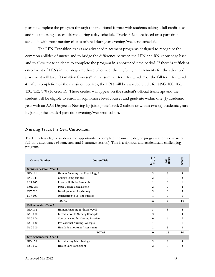plan to complete the program through the traditional format with students taking a full credit load and most nursing classes offered during a day schedule. Tracks 3 & 4 are based on a part-time schedule with most nursing classes offered during an evening/weekend schedule.

The LPN Transition tracks are advanced placement programs designed to recognize the common abilities of nurses and to bridge the difference between the LPN and RN knowledge base and to allow these students to complete the program in a shortened time period. If there is sufficient enrollment of LPNs in the program, those who meet the eligibility requirements for the advanced placement will take "Transition Courses" in the summer term for Track 2 or the fall term for Track 4. After completion of the transition courses, the LPN will be awarded credit for NSG 100, 106, 130, 152, 170 (16 credits). These credits will appear on the student's official transcript and the student will be eligible to enroll in sophomore level courses and graduate within one (1) academic year with an AAS Degree in Nursing by joining the Track 2 cohort or within two (2) academic years by joining the Track 4 part-time evening/weekend cohort.

#### <span id="page-44-0"></span>**Nursing Track 1: 2 Year Curriculum**

Track 1 offers eligible students the opportunity to complete the nursing degree program after two years of full-time attendance (4 semesters and 1 summer session). This is a rigorous and academically challenging program.

| <b>Course Number</b>          | <b>Course Title</b>                      | Lecture<br><b>Hours</b> | Hours<br>dab | Credits |  |  |
|-------------------------------|------------------------------------------|-------------------------|--------------|---------|--|--|
| <b>Summer Session-Year 1</b>  |                                          |                         |              |         |  |  |
| <b>BIO 141</b>                | Human Anatomy and Physiology I           | 3                       | 3            | 4       |  |  |
| <b>ENG 111</b>                | <b>College Composition I</b>             | 3                       | $\Omega$     | 3       |  |  |
| <b>LBR 105</b>                | Library Skills for Research              | 1                       | $\bf{0}$     | 1       |  |  |
| <b>NUR135</b>                 | Drug Dosage Calculations                 | 2                       | $\Omega$     | 2       |  |  |
| <b>PSY 230</b>                | Developmental Psychology                 | 3                       | $\Omega$     | 3       |  |  |
| <b>SDV 100</b>                | Orientation to College Success           | $\mathbf{1}$            | $\Omega$     | 1       |  |  |
|                               | <b>TOTAL</b>                             | 13                      | 3            | 14      |  |  |
| <b>Fall Semester-Year 1</b>   |                                          |                         |              |         |  |  |
| <b>BIO 142</b>                | Human Anatomy & Physiology II            | 3                       | 3            | 4       |  |  |
| <b>NSG 100</b>                | <b>Introduction to Nursing Concepts</b>  | 3                       | 3            | 4       |  |  |
| <b>NSG 106</b>                | <b>Competencies for Nursing Practice</b> | $\Omega$                | 6            | 2       |  |  |
| <b>NSG 130</b>                | Professional Nursing Concepts            | 1                       | $\Omega$     | 1       |  |  |
| <b>NSG 200</b>                | Health Promotion & Assessment            | 2                       | 3            | 3       |  |  |
|                               | <b>TOTAL</b>                             | 9                       | 15           | 14      |  |  |
| <b>Spring Semester-Year 1</b> |                                          |                         |              |         |  |  |
| <b>BIO 150</b>                | <b>Introductory Microbiology</b>         | 3                       | 3            | 4       |  |  |
| <b>NSG 152</b>                | Health Care Participant                  | 2                       | 3            | 3       |  |  |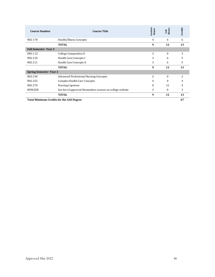| <b>Course Number</b>                            | <b>Course Title</b>                                                         | Lecture<br>Hours | Hours<br>Lab | Credits |
|-------------------------------------------------|-----------------------------------------------------------------------------|------------------|--------------|---------|
| <b>NSG 170</b>                                  | <b>Health/Illness Concepts</b>                                              | 4                | 6            | 6       |
|                                                 | <b>TOTAL</b>                                                                | 9                | 12           | 13      |
| <b>Fall Semester-Year 2</b>                     |                                                                             |                  |              |         |
| <b>ENG 112</b>                                  | <b>College Composition II</b>                                               | 3                | $\Omega$     | 3       |
| <b>NSG 210</b>                                  | Health Care Concepts I                                                      | 3                | 6            | 5       |
| <b>NSG 211</b>                                  | Health Care Concepts II                                                     | 3                | 6            | 5       |
|                                                 | <b>TOTAL</b>                                                                | 9                | 12           | 13      |
| <b>Spring Semester-Year 2</b>                   |                                                                             |                  |              |         |
| <b>NSG 230</b>                                  | <b>Advanced Professional Nursing Concepts</b>                               | 2                | $\Omega$     | 2       |
| <b>NSG 252</b>                                  | <b>Complex Health Care Concepts</b>                                         | 4                | $\Omega$     | 4       |
| <b>NSG 270</b>                                  | 12<br>Nursing Capstone<br>$\theta$                                          |                  |              |         |
| <b>HUM EEE</b>                                  | 3<br>See list of approved Humanities courses on college website<br>$\Omega$ |                  |              |         |
|                                                 | <b>TOTAL</b>                                                                | 9                | 12           | 13      |
| <b>Total Minimum Credits for the AAS Degree</b> |                                                                             |                  | 67           |         |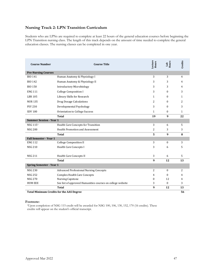# <span id="page-46-0"></span>**Nursing Track 2: LPN Transition Curriculum**

Students who are LPNs are required to complete at least 22 hours of the general education courses before beginning the LPN Transition nursing class. The length of this track depends on the amount of time needed to complete the general education classes. The nursing classes can be completed in one year.

| <b>Course Number</b>                            | <b>Course Title</b>                                        | Lecture<br>Hours | Lab<br>Hours | Credits      |  |  |
|-------------------------------------------------|------------------------------------------------------------|------------------|--------------|--------------|--|--|
| <b>Pre-Nursing Courses</b>                      |                                                            |                  |              |              |  |  |
| BIO 141                                         | Human Anatomy & Physiology I                               | 3                | 3            | 4            |  |  |
| <b>BIO 142</b>                                  | Human Anatomy & Physiology II                              | 3                | 3            | 4            |  |  |
| <b>BIO 150</b>                                  | <b>Introductory Microbiology</b>                           | 3                | 3            | 4            |  |  |
| <b>ENG 111</b>                                  | <b>College Composition I</b>                               | 3                | $\theta$     | 3            |  |  |
| <b>LBR 105</b>                                  | Library Skills for Research                                | 1                | $\theta$     | $\mathbf{1}$ |  |  |
| <b>NUR135</b>                                   | Drug Dosage Calculations                                   | 2                | $\theta$     | 2            |  |  |
| <b>PSY 230</b>                                  | Developmental Psychology                                   | 3                | $\Omega$     | 3            |  |  |
| <b>SDV 100</b>                                  | Orientation to College Success                             | $\mathbf{1}$     | $\Omega$     | $\mathbf{1}$ |  |  |
|                                                 | <b>Total</b>                                               | 19               | 9            | 22           |  |  |
| <b>Summer Session - Year 1</b>                  |                                                            |                  |              |              |  |  |
| NSG 1151                                        | Health Care Concepts for Transition                        | 3                | 6            | 5            |  |  |
| <b>NSG 200</b>                                  | <b>Health Promotion and Assessment</b>                     | 2                | 3            | 3            |  |  |
|                                                 | <b>Total</b>                                               | 5                | 9            | 8            |  |  |
| <b>Fall Semester - Year 1</b>                   |                                                            |                  |              |              |  |  |
| <b>ENG 112</b>                                  | <b>College Composition II</b>                              | 3                | $\theta$     | 3            |  |  |
| <b>NSG 210</b>                                  | Health Care Concepts I                                     | 6                | 5            |              |  |  |
| <b>NSG 211</b>                                  | Health Care Concepts II                                    | 3                | 6            | 5            |  |  |
|                                                 | <b>Total</b>                                               | 9                | 12           | 13           |  |  |
| <b>Spring Semester - Year 1</b>                 |                                                            |                  |              |              |  |  |
| <b>NSG 230</b>                                  | <b>Advanced Professional Nursing Concepts</b>              | 2                | $\theta$     | 2            |  |  |
| <b>NSG 252</b>                                  | <b>Complex Health Care Concepts</b>                        | 4                | $\bf{0}$     | 4            |  |  |
| <b>NSG 270</b>                                  | <b>Nursing Capstone</b>                                    | 12               | 4            |              |  |  |
| <b>HUM EEE</b>                                  | See list of approved Humanities courses on college website | 3                | $\Omega$     | 3            |  |  |
|                                                 | <b>Total</b>                                               | 9                | 12           | 13           |  |  |
| <b>Total Minimum Credits for the AAS Degree</b> |                                                            |                  | 56           |              |  |  |

#### **Footnote:**

<sup>1</sup>Upon completion of NSG 115 credit will be awarded for NSG 100, 106, 130, 152, 170 (16 credits). These credits will appear on the student's official transcript.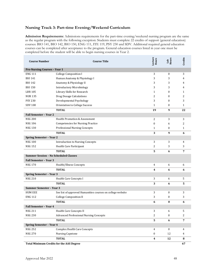#### <span id="page-47-0"></span>**Nursing Track 3: Part-time Evening/Weekend Curriculum**

**Admission Requirements:** Admissions requirements for the part-time evening/weekend nursing program are the same as the regular program with the following exception: Students must complete 22 credits of support (general education) courses: BIO 141, BIO 142, BIO 150, ENG 111, ITE 119, PSY 230 and SDV. Additional required general education courses can be completed after acceptance to the program. General education courses listed in year one must be completed before the student will be able to begin nursing courses in Year 2.

| <b>Course Number</b>                            | <b>Course Title</b>                                        | $Leture$ Hours | Lab<br>Hours     | Credits      |  |  |  |
|-------------------------------------------------|------------------------------------------------------------|----------------|------------------|--------------|--|--|--|
| <b>Pre-Nursing Courses - Year 1</b>             |                                                            |                |                  |              |  |  |  |
| <b>ENG 111</b>                                  | <b>College Composition I</b>                               | 3              | $\bf{0}$         | 3            |  |  |  |
| <b>BIO 141</b>                                  | Human Anatomy & Physiology I                               | 3              | 3                | 4            |  |  |  |
| <b>BIO 142</b>                                  | Anatomy & Physiology II                                    | 3              | 3                | 4            |  |  |  |
| <b>BIO 150</b>                                  | <b>Introductory Microbiology</b>                           | 3              | 3                | 4            |  |  |  |
| <b>LBR 105</b>                                  | Library Skills for Research                                | 1              | 0                | 1            |  |  |  |
| <b>NUR135</b>                                   | Drug Dosage Calculations                                   | 2              | 0                | 2            |  |  |  |
| <b>PSY 230</b>                                  | Developmental Psychology                                   | 3              | 0                | 3            |  |  |  |
| <b>SDV 100</b>                                  | Orientation to College Success                             | $\mathbf{1}$   | $\mathbf{0}$     | 1            |  |  |  |
|                                                 | <b>TOTAL</b>                                               | 19             | 9                | 22           |  |  |  |
| <b>Fall Semester - Year 2</b>                   |                                                            |                |                  |              |  |  |  |
| <b>NSG 200</b>                                  | <b>Health Promotion &amp; Assessment</b>                   | $\overline{2}$ | 3                | 3            |  |  |  |
| <b>NSG 106</b>                                  | <b>Competencies for Nursing Practice</b>                   | $\mathbf{0}$   | 6                | 2            |  |  |  |
| <b>NSG 130</b>                                  | <b>Professional Nursing Concepts</b>                       | 1              | 0                | $\mathbf{1}$ |  |  |  |
|                                                 | <b>TOTAL</b>                                               | 3              | 9                | 6            |  |  |  |
| <b>Spring Semester - Year 2</b>                 |                                                            |                |                  |              |  |  |  |
| <b>NSG 100</b>                                  | <b>Introduction to Nursing Concepts</b>                    | 3              | 3                | 4            |  |  |  |
| <b>NSG 152</b>                                  | Health Care Participant                                    | 2              | 3                | 3            |  |  |  |
|                                                 | <b>TOTAL</b>                                               | 5              | 6                | 7            |  |  |  |
| <b>Summer Session - No Scheduled Classes</b>    |                                                            |                |                  |              |  |  |  |
| <b>Fall Semester - Year 3</b>                   |                                                            |                |                  |              |  |  |  |
| <b>NSG 170</b>                                  | Health/Illness Concepts                                    | 4              | 6                | 6            |  |  |  |
|                                                 | <b>TOTAL</b>                                               | 4              | 6                | 6            |  |  |  |
| <b>Spring Semester - Year 3</b>                 |                                                            |                |                  |              |  |  |  |
| <b>NSG 210</b>                                  | Health Care Concepts I                                     | 3              | 6                | 5            |  |  |  |
|                                                 | <b>TOTAL</b>                                               | 3              | 6                | 5            |  |  |  |
| <b>Summer Semester - Year 3</b>                 |                                                            |                |                  |              |  |  |  |
| <b>HUM EEE</b>                                  | See list of approved Humanities courses on college website | 3              | $\mathbf{0}$     | 3            |  |  |  |
| <b>ENG 112</b>                                  | <b>College Composition II</b>                              | 3              | $\mathbf{0}$     | 3            |  |  |  |
|                                                 | <b>TOTAL</b>                                               | 6              | $\bf{0}$         | 6            |  |  |  |
| Fall Semester - Year 4                          |                                                            |                |                  |              |  |  |  |
| <b>NSG 211</b>                                  | Health Care Concepts II                                    | 3              | 6                | 5            |  |  |  |
| <b>NSG 230</b>                                  | <b>Advanced Professional Nursing Concepts</b>              | 2              | $\boldsymbol{0}$ | 2            |  |  |  |
|                                                 | <b>TOTAL</b>                                               | 5              | 6                | 7            |  |  |  |
| <b>Spring Semester - Year 4</b>                 |                                                            |                |                  |              |  |  |  |
| <b>NSG 252</b>                                  | <b>Complex Health Care Concepts</b>                        | $\overline{4}$ | $\boldsymbol{0}$ | 4            |  |  |  |
| <b>NSG 270</b>                                  | Nursing Capstone                                           | $\bf{0}$       | 12               | 4            |  |  |  |
|                                                 | <b>TOTAL</b>                                               | 4              | 12               | 8            |  |  |  |
| <b>Total Minimum Credits for the AAS Degree</b> |                                                            |                | 67               |              |  |  |  |

Approved Mar 2022 48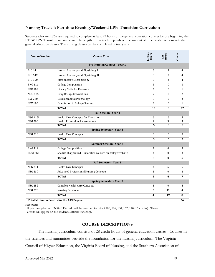#### <span id="page-48-0"></span>**Nursing Track 4: Part-time Evening/Weekend LPN Transition Curriculum**

Students who are LPNs are required to complete at least 22 hours of the general education courses before beginning the PTEW LPN Transition nursing class. The length of this track depends on the amount of time needed to complete the general education classes. The nursing classes can be completed in two years.

| <b>Course Number</b> | <b>Course Title</b>                                        | Lecture<br>Hours | <b>Hours</b><br>Lab | Credits        |
|----------------------|------------------------------------------------------------|------------------|---------------------|----------------|
|                      | <b>Pre-Nursing Courses - Year 1</b>                        |                  |                     |                |
| <b>BIO 141</b>       | Human Anatomy and Physiology I                             | 3                | 3                   | $\overline{4}$ |
| <b>BIO 142</b>       | Human Anatomy and Physiology II                            | 3                | 3                   | 4              |
| <b>BIO 150</b>       | <b>Introductory Microbiology</b>                           | 3                | 3                   | 4              |
| <b>ENG 111</b>       | College Composition I                                      | 3                | 0                   | 3              |
| <b>LBR 105</b>       | Library Skills for Research                                | 1                | $\Omega$            | $\mathbf{1}$   |
| <b>NUR135</b>        | Drug Dosage Calculations                                   | 2                | $\Omega$            | 2              |
| <b>PSY 230</b>       | Developmental Psychology                                   | 3                | $\Omega$            | 3              |
| <b>SDV 100</b>       | Orientation to College Success                             | $\mathbf{1}$     | $\Omega$            | $\mathbf{1}$   |
|                      | <b>TOTAL</b>                                               | 19               | 9                   | 22             |
|                      | <b>Fall Session - Year 2</b>                               |                  |                     |                |
| NSG 115 <sup>1</sup> | Health Care Concepts for Transition                        | 3                | 6                   | 5              |
| <b>NSG 200</b>       | Health Promotion & Assessment                              | 2                | 3                   | 3              |
|                      | <b>TOTAL</b>                                               | 5                | 9                   | 8              |
|                      | <b>Spring Semester - Year 2</b>                            |                  |                     |                |
| <b>NSG 210</b>       | Health Care Concepts I                                     | 3                | 6                   | 5              |
|                      | <b>TOTAL</b>                                               | 3                | 6                   | 5              |
|                      | <b>Summer Session - Year 3</b>                             |                  |                     |                |
| <b>ENG 112</b>       | <b>College Composition II</b>                              | 3                | $\mathbf{0}$        | 3              |
| <b>HUM EEE</b>       | See list of approved Humanities courses on college website | 3                | $\mathbf{0}$        | 3              |
|                      | <b>TOTAL</b>                                               | 6                | $\bf{0}$            | 6              |
|                      | <b>Fall Semester - Year 3</b>                              |                  |                     |                |
| <b>NSG 211</b>       | <b>Health Care Concepts II</b>                             | 3                | 6                   | 5              |
| <b>NSG 230</b>       | <b>Advanced Professional Nursing Concepts</b>              | 2                | $\mathbf{0}$        | $\overline{2}$ |
|                      | <b>TOTAL</b>                                               | 5                | 6                   | 7              |
|                      | <b>Spring Semester - Year 3</b>                            |                  |                     |                |
| <b>NSG 252</b>       | <b>Complex Health Care Concepts</b>                        | $\overline{4}$   | $\Omega$            | $\overline{4}$ |
| <b>NSG 270</b>       | <b>Nursing Capstone</b>                                    | $\bf{0}$         | 12                  | 4              |
|                      | <b>TOTAL</b>                                               | 4                | 12                  | 8              |
|                      | <b>Total Minimum Credits for the AAS Degree</b>            |                  |                     | 56             |

**Footnote:**

<sup>1</sup>Upon completion of NSG 115 credit will be awarded for NSG 100, 106, 130, 152, 170 (16 credits). These credits will appear on the student's official transcript.

# **COURSE DESCRIPTIONS**

<span id="page-48-1"></span>The nursing curriculum consists of 28 credit hours of general education classes. Courses in the sciences and humanities provide the foundation for the nursing curriculum. The Virginia Council of Higher Education, the Virginia Board of Nursing, and the Southern Association of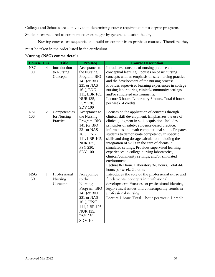Colleges and Schools are all involved in determining course requirements for degree programs. Students are required to complete courses taught by general education faculty.

Nursing courses are sequential and build on content from previous courses. Therefore, they must be taken in the order listed in the curriculum.

| <b>Course</b>     | Crs            | <b>Title</b>                            | Pre-Req.                                                                                                                                                    | <b>Course Description</b>                                                                                                                                                                                                                                                                                                                                                                                                                                                                                                                                                                                                                                                         |
|-------------------|----------------|-----------------------------------------|-------------------------------------------------------------------------------------------------------------------------------------------------------------|-----------------------------------------------------------------------------------------------------------------------------------------------------------------------------------------------------------------------------------------------------------------------------------------------------------------------------------------------------------------------------------------------------------------------------------------------------------------------------------------------------------------------------------------------------------------------------------------------------------------------------------------------------------------------------------|
| <b>NSG</b><br>100 | $\overline{4}$ | Introduction<br>to Nursing<br>Concepts  | Acceptance to<br>the Nursing<br>Program, BIO<br>141 (or BIO<br>231 or NAS<br>161), ENG<br>111, LBR 105,<br><b>NUR 135,</b><br>PSY 230,<br><b>SDV 100</b>    | Introduces concepts of nursing practice and<br>conceptual learning. Focuses on basic nursing<br>concepts with an emphasis on safe nursing practice<br>and the development of the nursing process.<br>Provides supervised learning experiences in college<br>nursing laboratories, clinical/community settings,<br>and/or simulated environments.<br>Lecture 3 hours. Laboratory 3 hours. Total 6 hours<br>per week. 4 credits                                                                                                                                                                                                                                                     |
| <b>NSG</b><br>106 | $\overline{2}$ | Competencies<br>for Nursing<br>Practice | Acceptance to<br>the Nursing<br>Program, BIO<br>141 (or BIO<br>231 or NAS<br>161), ENG<br>111, LBR 105,<br><b>NUR 135,</b><br>PSY 230,<br><b>SDV 100</b>    | Focuses on the application of concepts through<br>clinical skill development. Emphasizes the use of<br>clinical judgment in skill acquisition. Includes<br>principles of safety, evidence-based practice,<br>informatics and math computational skills. Prepares<br>students to demonstrate competency in specific<br>skills and drug dosage calculation including the<br>integration of skills in the care of clients in<br>simulated settings. Provides supervised learning<br>experiences in college nursing laboratories,<br>clinical/community settings, and/or simulated<br>environments.<br>Lecture 0-1 hour. Laboratory 3-6 hours. Total 4-6<br>hours per week. 2 credits |
| <b>NSG</b><br>130 | $\mathbf{1}$   | Professional<br>Nursing<br>Concepts     | Acceptance<br>to the<br>Nursing<br>Program, BIO<br>141 (or BIO<br>231 or NAS<br>161), ENG<br>111, LBR 105,<br><b>NUR 135,</b><br>PSY 230,<br><b>SDV 100</b> | Introduces the role of the professional nurse and<br>fundamental concepts in professional<br>development. Focuses on professional identity,<br>legal/ethical issues and contemporary trends in<br>professional nursing.<br>Lecture 1 hour. Total 1 hour per week. 1 credit                                                                                                                                                                                                                                                                                                                                                                                                        |

# **Nursing (NSG) course details**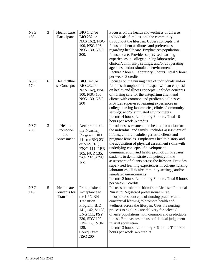| <b>NSG</b><br>152 | 3 | <b>Health Care</b><br>Participant        | <b>BIO 142 (or</b><br><b>BIO 232 or</b><br>NAS 162), NSG<br>100, NSG 106,<br><b>NSG 130, NSG</b><br>200.                                                                                                 | Focuses on the health and wellness of diverse<br>individuals, families, and the community<br>throughout the lifespan. Covers concepts that<br>focus on client attributes and preferences<br>regarding healthcare. Emphasizes population-<br>focused care. Provides supervised learning<br>experiences in college nursing laboratories,<br>clinical/community settings, and/or cooperating<br>agencies, and/or simulated environments.<br>Lecture 2 hours. Laboratory 3 hours. Total 5 hours<br>per week. 3 credits                                                                                                                                                              |
|-------------------|---|------------------------------------------|----------------------------------------------------------------------------------------------------------------------------------------------------------------------------------------------------------|---------------------------------------------------------------------------------------------------------------------------------------------------------------------------------------------------------------------------------------------------------------------------------------------------------------------------------------------------------------------------------------------------------------------------------------------------------------------------------------------------------------------------------------------------------------------------------------------------------------------------------------------------------------------------------|
| <b>NSG</b><br>170 | 6 | Health/Illne<br>ss Concepts              | <b>BIO 142 (or</b><br><b>BIO 232 or</b><br>NAS 162), NSG<br>100, NSG 106,<br><b>NSG 130, NSG</b><br>200                                                                                                  | Focuses on the nursing care of individuals and/or<br>families throughout the lifespan with an emphasis<br>on health and illness concepts. Includes concepts<br>of nursing care for the antepartum client and<br>clients with common and predictable illnesses.<br>Provides supervised learning experiences in<br>college nursing laboratories, clinical/community<br>settings, and/or simulated environments.<br>Lecture 4 hours, Laboratory 6 hours. Total 10<br>hours per week. 6 credits                                                                                                                                                                                     |
| <b>NSG</b><br>200 | 3 | Health<br>Promotion<br>and<br>Assessment | Acceptance to<br>the Nursing<br>Program, BIO<br>141 (or BIO 231<br>or NAS 161),<br>ENG 111, LBR<br>105, NUR 135,<br>PSY 230, SDV<br>100                                                                  | Introduces assessment and health promotion for<br>the individual and family. Includes assessment of<br>infants, children, adults, geriatric clients and<br>pregnant females. Emphasizes health history and<br>the acquisition of physical assessment skills with<br>underlying concepts of development,<br>communication, and health promotion. Prepares<br>students to demonstrate competency in the<br>assessment of clients across the lifespan. Provides<br>supervised learning experiences in college nursing<br>laboratories, clinical/community settings, and/or<br>simulated environments.<br>Lecture 2 hours. Laboratory 3 hours. Total 5 hours<br>per week. 3 credits |
| <b>NSG</b><br>115 | 5 | Healthcare<br>Concepts for<br>Transition | Prerequisites:<br>Acceptance to<br>the LPN-RN<br>Transition<br>Program; BIO<br>141, 142, & 150,<br><b>ENG 111, PSY</b><br>230, SDV 100;<br><b>LBR 105, NUR</b><br>135,<br>Corequisite:<br><b>NSG 200</b> | Focuses on role transition from Licensed Practical<br>Nurse to Registered professional nurse.<br>Incorporates concepts of nursing practice and<br>conceptual learning to promote health and<br>wellness across the lifespan. Uses the nursing<br>process to explore care delivery for selected<br>diverse populations with common and predictable<br>illness. Emphasizes the use of clinical judgement<br>in skill acquisition.<br>Lecture 3 hours. Laboratory 3-6 hours. Total 6-9<br>hours per week. 4-5 credits                                                                                                                                                              |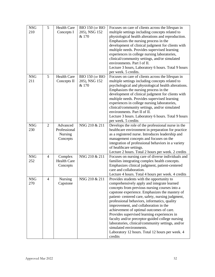| <b>NSG</b><br>210 | 5              | <b>Health Care</b><br>Concepts I                | BIO 150 (or BIO<br>205), NSG 152<br>& 170 | Focuses on care of clients across the lifespan in<br>multiple settings including concepts related to<br>physiological health alterations and reproduction.<br>Emphasizes the nursing process in the<br>development of clinical judgment for clients with<br>multiple needs. Provides supervised learning<br>experiences in college nursing laboratories,<br>clinical/community settings, and/or simulated<br>environments. Part I of II.<br>Lecture 3 hours, Laboratory 6 hours. Total 9 hours<br>per week. 5 credits.                                                                                                                |
|-------------------|----------------|-------------------------------------------------|-------------------------------------------|---------------------------------------------------------------------------------------------------------------------------------------------------------------------------------------------------------------------------------------------------------------------------------------------------------------------------------------------------------------------------------------------------------------------------------------------------------------------------------------------------------------------------------------------------------------------------------------------------------------------------------------|
| <b>NSG</b><br>211 | 5              | <b>Health Care</b><br>Concepts II               | BIO 150 (or BIO<br>205), NSG 152<br>& 170 | Focuses on care of clients across the lifespan in<br>multiple settings including concepts related to<br>psychological and physiological health alterations.<br>Emphasizes the nursing process in the<br>development of clinical judgment for clients with<br>multiple needs. Provides supervised learning<br>experiences in college nursing laboratories,<br>clinical/community settings, and/or simulated<br>environments. Part II of II.<br>Lecture 3 hours. Laboratory 6 hours. Total 9 hours<br>per week. 5 credits                                                                                                               |
| <b>NSG</b><br>230 | $\overline{2}$ | Advanced<br>Professional<br>Nursing<br>Concepts | NSG 210 & 211                             | Develops the role of the professional nurse in the<br>healthcare environment in preparation for practice<br>as a registered nurse. Introduces leadership and<br>management concepts and focuses on the<br>integration of professional behaviors in a variety<br>of healthcare settings.<br>Lecture 2 hours. Total 2 hours per week. 2 credits                                                                                                                                                                                                                                                                                         |
| <b>NSG</b><br>252 | $\overline{4}$ | Complex<br><b>Health Care</b><br>Concepts       | NSG 210 & 211                             | Focuses on nursing care of diverse individuals and<br>families integrating complex health concepts.<br>Emphasizes clinical judgment, patient-centered<br>care and collaboration.<br>Lecture 4 hours. Total 4 hours per week. 4 credits                                                                                                                                                                                                                                                                                                                                                                                                |
| <b>NSG</b><br>270 | $\overline{4}$ | Nursing<br>Capstone                             | NSG 210 & 211                             | Provides students with the opportunity to<br>comprehensively apply and integrate learned<br>concepts from previous nursing courses into a<br>capstone experience. Emphasizes the mastery of<br>patient- centered care, safety, nursing judgment,<br>professional behaviors, informatics, quality<br>improvement, and collaboration in the<br>achievement of optimal outcomes of care.<br>Provides supervised learning experiences in<br>faculty and/or preceptor-guided college nursing<br>laboratories, clinical/community settings, and/or<br>simulated environments.<br>Laboratory 12 hours. Total 12 hours per week. 4<br>credits |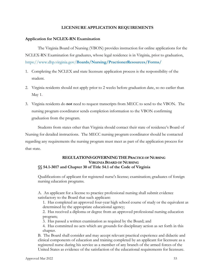## **LICENSURE APPLICATION REQUIREMENTS**

### <span id="page-52-1"></span><span id="page-52-0"></span>**Application for NCLEX-RN Examination**

The Virginia Board of Nursing (VBON) provides instruction for online applications for the NCLEX-RN Examination for graduates, whose legal residence is in Virginia, prior to graduation, https://www.dhp.virginia.gov/**Boards/Nursing/PractionerResources/Forms/**

- 1. Completing the NCLEX and state licensure application process is the responsibility of the student.
- 2. Virginia residents should not apply prior to 2 weeks before graduation date, so no earlier than May 1.
- 3. Virginia residents do **not** need to request transcripts from MECC to send to the VBON. The nursing program coordinator sends completion information to the VBON confirming graduation from the program.

Students from states other than Virginia should contact their state of residence's Board of Nursing for detailed instructions. The MECC nursing program coordinator should be contacted regarding any requirements the nursing program must meet as part of the application process for that state.

# **REGULATIONSGOVERNINGTHEPRACTICE OF NURSING VIRGINIA BOARD OF NURSING §§ 54.1-3017 and Chapter 30 of Title 54.1 of the Code of Virginia**

Qualifications of applicant for registered nurse's license; examination; graduates of foreign nursing education programs.

A. An applicant for a license to practice professional nursing shall submit evidence satisfactory to the Board that such applicant:

1. Has completed an approved four-year high school course of study or the equivalent as determined by the appropriate educational agency;

2. Has received a diploma or degree from an approved professional nursing education program;

3. Has passed a written examination as required by the Board; and

4. Has committed no acts which are grounds for disciplinary action as set forth in this chapter.

B. The Board shall consider and may accept relevant practical experience and didactic and clinical components of education and training completed by an applicant for licensure as a registered nurse during his service as a member of any branch of the armed forces of the United States as evidence of the satisfaction of the educational requirements for licensure.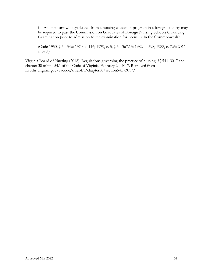C. An applicant who graduated from a nursing education program in a foreign country may be required to pass the Commission on Graduates of Foreign Nursing Schools Qualifying Examination prior to admission to the examination for licensure in the Commonwealth.

(Code 1950, § 54-346; 1970, c. 116; 1979, c. 5, § 54-367.13; 1982, c. 598; 1988, c. 765; 2011, c. 390.)

Virginia Board of Nursing (2018). Regulations governing the practice of nursing, §§ 54.1-3017 and chapter 30 of title 54.1 of the Code of Virginia, February 24, 2017. Retrieved from Law.lis.virginia.gov/vacode/title54.1/chapter30/section54.1-3017/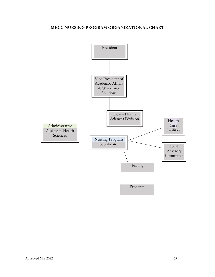# **MECC NURSING PROGRAM ORGANIZATIONAL CHART**

<span id="page-54-0"></span>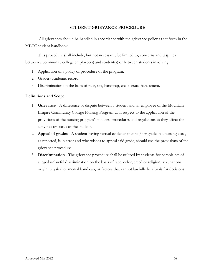# **STUDENT GRIEVANCE PROCEDURE**

<span id="page-55-0"></span>All grievances should be handled in accordance with the grievance policy as set forth in the MECC student handbook.

This procedure shall include, but not necessarily be limited to, concerns and disputes between a community college employee(s) and student(s) or between students involving:

- 1. Application of a policy or procedure of the program,
- 2. Grades/academic record,
- 3. Discrimination on the basis of race, sex, handicap, etc. /sexual harassment.

# <span id="page-55-1"></span>**Definitions and Scope**

- 1. **Grievance** A difference or dispute between a student and an employee of the Mountain Empire Community College Nursing Program with respect to the application of the provisions of the nursing program's policies, procedures and regulations as they affect the activities or status of the student.
- 2. **Appeal of grades**  A student having factual evidence that his/her grade in a nursing class, as reported, is in error and who wishes to appeal said grade, should use the provisions of the grievance procedure.
- 3. **Discrimination**  The grievance procedure shall be utilized by students for complaints of alleged unlawful discrimination on the basis of race, color, creed or religion, sex, national origin, physical or mental handicap, or factors that cannot lawfully be a basis for decisions.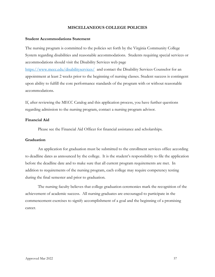#### **MISCELLANEOUS COLLEGE POLICIES**

#### <span id="page-56-1"></span><span id="page-56-0"></span>**Student Accommodations Statement**

The nursing program is committed to the policies set forth by the Virginia Community College System regarding disabilities and reasonable accommodations. Students requiring special services or accommodations should visit the Disability Services web page

<https://www.mecc.edu/disabilityservices/> and contact the Disability Services Counselor for an appointment at least 2 weeks prior to the beginning of nursing classes. Student success is contingent upon ability to fulfill the core performance standards of the program with or without reasonable accommodations.

If, after reviewing the MECC Catalog and this application process, you have further questions regarding admission to the nursing program, contact a nursing program advisor.

# <span id="page-56-2"></span>**Financial Aid**

Please see the Financial Aid Officer for financial assistance and scholarships.

#### <span id="page-56-3"></span>**Graduation**

An application for graduation must be submitted to the enrollment services office according to deadline dates as announced by the college. It is the student's responsibility to file the application before the deadline date and to make sure that all current program requirements are met. In addition to requirements of the nursing program, each college may require competency testing during the final semester and prior to graduation.

The nursing faculty believes that college graduation ceremonies mark the recognition of the achievement of academic success. All nursing graduates are encouraged to participate in the commencement exercises to signify accomplishment of a goal and the beginning of a promising career.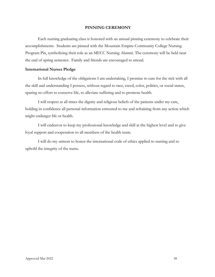## **PINNING CEREMONY**

<span id="page-57-0"></span>Each nursing graduating class is honored with an annual pinning ceremony to celebrate their accomplishments. Students are pinned with the Mountain Empire Community College Nursing Program Pin, symbolizing their role as an MECC Nursing Alumni. The ceremony will be held near the end of spring semester. Family and friends are encouraged to attend.

# <span id="page-57-1"></span>**International Nurses Pledge**

In full knowledge of the obligations I am undertaking, I promise to care for the sick with all the skill and understanding I possess, without regard to race, creed, color, politics, or social status, sparing no effort to conserve life, to alleviate suffering and to promote health.

I will respect at all times the dignity and religious beliefs of the patients under my care, holding in confidence all personal information entrusted to me and refraining from any action which might endanger life or health.

I will endeavor to keep my professional knowledge and skill at the highest level and to give loyal support and cooperation to all members of the health team.

I will do my utmost to honor the international code of ethics applied to nursing and to uphold the integrity of the nurse.